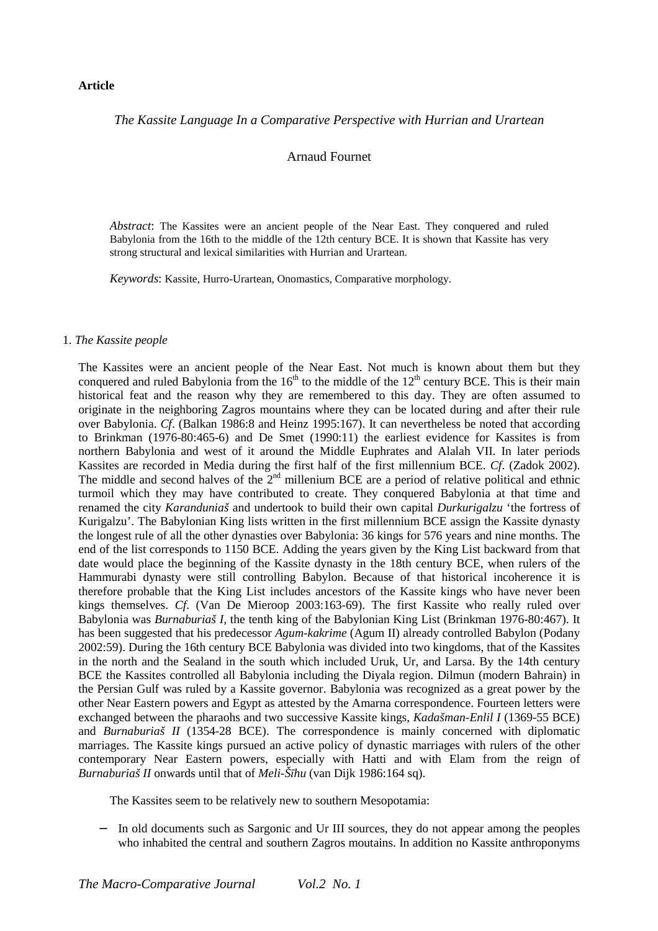#### **Article**

# *The Kassite Language In a Comparative Perspective with Hurrian and Urartean*

# Arnaud Fournet

*Abstract*: The Kassites were an ancient people of the Near East. They conquered and ruled Babylonia from the 16th to the middle of the 12th century BCE. It is shown that Kassite has very strong structural and lexical similarities with Hurrian and Urartean.

*Keywords*: Kassite, Hurro-Urartean, Onomastics, Comparative morphology.

#### 1. *The Kassite people*

The Kassites were an ancient people of the Near East. Not much is known about them but they conquered and ruled Babylonia from the  $16<sup>th</sup>$  to the middle of the  $12<sup>th</sup>$  century BCE. This is their main historical feat and the reason why they are remembered to this day. They are often assumed to originate in the neighboring Zagros mountains where they can be located during and after their rule over Babylonia. *Cf*. (Balkan 1986:8 and Heinz 1995:167). It can nevertheless be noted that according to Brinkman (1976-80:465-6) and De Smet (1990:11) the earliest evidence for Kassites is from northern Babylonia and west of it around the Middle Euphrates and Alalah VII. In later periods Kassites are recorded in Media during the first half of the first millennium BCE. *Cf*. (Zadok 2002). The middle and second halves of the  $2<sup>nd</sup>$  millenium BCE are a period of relative political and ethnic turmoil which they may have contributed to create. They conquered Babylonia at that time and renamed the city *Karanduniaš* and undertook to build their own capital *Durkurigalzu* 'the fortress of Kurigalzu'. The Babylonian King lists written in the first millennium BCE assign the Kassite dynasty the longest rule of all the other dynasties over Babylonia: 36 kings for 576 years and nine months. The end of the list corresponds to 1150 BCE. Adding the years given by the King List backward from that date would place the beginning of the Kassite dynasty in the 18th century BCE, when rulers of the Hammurabi dynasty were still controlling Babylon. Because of that historical incoherence it is therefore probable that the King List includes ancestors of the Kassite kings who have never been kings themselves. *Cf*. (Van De Mieroop 2003:163-69). The first Kassite who really ruled over Babylonia was *Burnaburiaš I*, the tenth king of the Babylonian King List (Brinkman 1976-80:467). It has been suggested that his predecessor *Agum-kakrime* (Agum II) already controlled Babylon (Podany 2002:59). During the 16th century BCE Babylonia was divided into two kingdoms, that of the Kassites in the north and the Sealand in the south which included Uruk, Ur, and Larsa. By the 14th century BCE the Kassites controlled all Babylonia including the Diyala region. Dilmun (modern Bahrain) in the Persian Gulf was ruled by a Kassite governor. Babylonia was recognized as a great power by the other Near Eastern powers and Egypt as attested by the Amarna correspondence. Fourteen letters were exchanged between the pharaohs and two successive Kassite kings, *Kadašman-Enlil I* (1369-55 BCE) and *Burnaburiaš II* (1354-28 BCE). The correspondence is mainly concerned with diplomatic marriages. The Kassite kings pursued an active policy of dynastic marriages with rulers of the other contemporary Near Eastern powers, especially with Hatti and with Elam from the reign of *Burnaburiaš II* onwards until that of *Meli-Šīhu* (van Dijk 1986:164 sq).

The Kassites seem to be relatively new to southern Mesopotamia:

In old documents such as Sargonic and Ur III sources, they do not appear among the peoples who inhabited the central and southern Zagros moutains. In addition no Kassite anthroponyms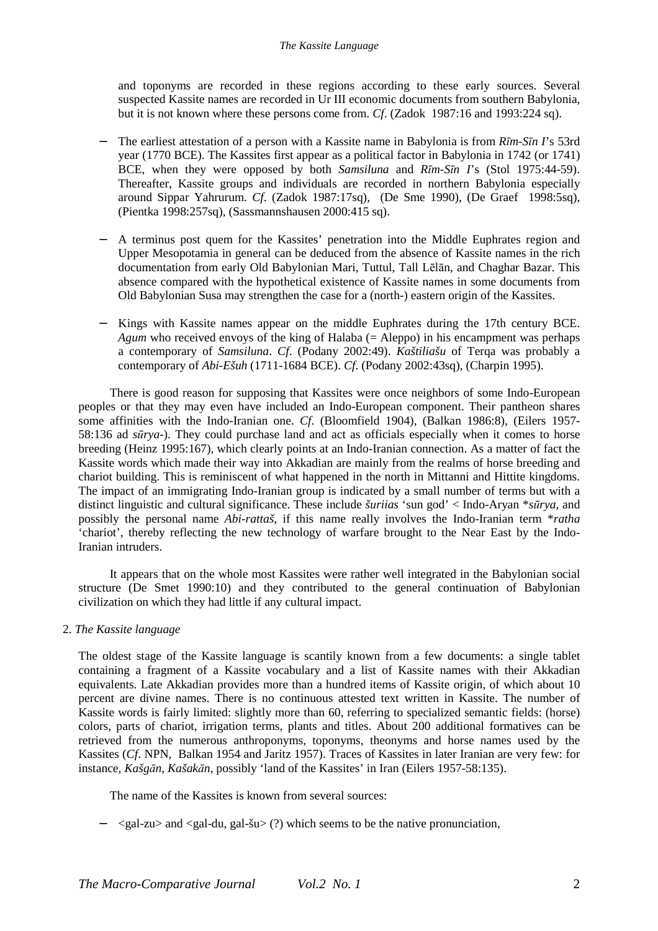and toponyms are recorded in these regions according to these early sources. Several suspected Kassite names are recorded in Ur III economic documents from southern Babylonia, but it is not known where these persons come from. *Cf*. (Zadok 1987:16 and 1993:224 sq).

- − The earliest attestation of a person with a Kassite name in Babylonia is from *Rīm-Sīn I*'s 53rd year (1770 BCE). The Kassites first appear as a political factor in Babylonia in 1742 (or 1741) BCE, when they were opposed by both *Samsiluna* and *Rīm-Sīn I*'s (Stol 1975:44-59). Thereafter, Kassite groups and individuals are recorded in northern Babylonia especially around Sippar Yahrurum. *Cf*. (Zadok 1987:17sq), (De Sme 1990), (De Graef 1998:5sq), (Pientka 1998:257sq), (Sassmannshausen 2000:415 sq).
- − A terminus post quem for the Kassites' penetration into the Middle Euphrates region and Upper Mesopotamia in general can be deduced from the absence of Kassite names in the rich documentation from early Old Babylonian Mari, Tuttul, Tall Lēlān, and Chaghar Bazar. This absence compared with the hypothetical existence of Kassite names in some documents from Old Babylonian Susa may strengthen the case for a (north-) eastern origin of the Kassites.
- − Kings with Kassite names appear on the middle Euphrates during the 17th century BCE. *Agum* who received envoys of the king of Halaba (= Aleppo) in his encampment was perhaps a contemporary of *Samsiluna*. *Cf*. (Podany 2002:49). *Kaštiliašu* of Terqa was probably a contemporary of *Abi-Ešuh* (1711-1684 BCE). *Cf*. (Podany 2002:43sq), (Charpin 1995).

There is good reason for supposing that Kassites were once neighbors of some Indo-European peoples or that they may even have included an Indo-European component. Their pantheon shares some affinities with the Indo-Iranian one. *Cf*. (Bloomfield 1904), (Balkan 1986:8), (Eilers 1957- 58:136 ad *sūrya*-). They could purchase land and act as officials especially when it comes to horse breeding (Heinz 1995:167), which clearly points at an Indo-Iranian connection. As a matter of fact the Kassite words which made their way into Akkadian are mainly from the realms of horse breeding and chariot building. This is reminiscent of what happened in the north in Mittanni and Hittite kingdoms. The impact of an immigrating Indo-Iranian group is indicated by a small number of terms but with a distinct linguistic and cultural significance. These include *šuriias* 'sun god' < Indo-Aryan \**sūrya*, and possibly the personal name *Abi-rattaš*, if this name really involves the Indo-Iranian term \**ratha* 'chariot', thereby reflecting the new technology of warfare brought to the Near East by the Indo-Iranian intruders.

It appears that on the whole most Kassites were rather well integrated in the Babylonian social structure (De Smet 1990:10) and they contributed to the general continuation of Babylonian civilization on which they had little if any cultural impact.

2. *The Kassite language* 

The oldest stage of the Kassite language is scantily known from a few documents: a single tablet containing a fragment of a Kassite vocabulary and a list of Kassite names with their Akkadian equivalents. Late Akkadian provides more than a hundred items of Kassite origin, of which about 10 percent are divine names. There is no continuous attested text written in Kassite. The number of Kassite words is fairly limited: slightly more than 60, referring to specialized semantic fields: (horse) colors, parts of chariot, irrigation terms, plants and titles. About 200 additional formatives can be retrieved from the numerous anthroponyms, toponyms, theonyms and horse names used by the Kassites (*Cf*. NPN, Balkan 1954 and Jaritz 1957). Traces of Kassites in later Iranian are very few: for instance, *Kašgān*, *Kašakān*, possibly 'land of the Kassites' in Iran (Eilers 1957-58:135).

The name of the Kassites is known from several sources:

− <gal-zu> and <gal-du, gal-šu> (?) which seems to be the native pronunciation,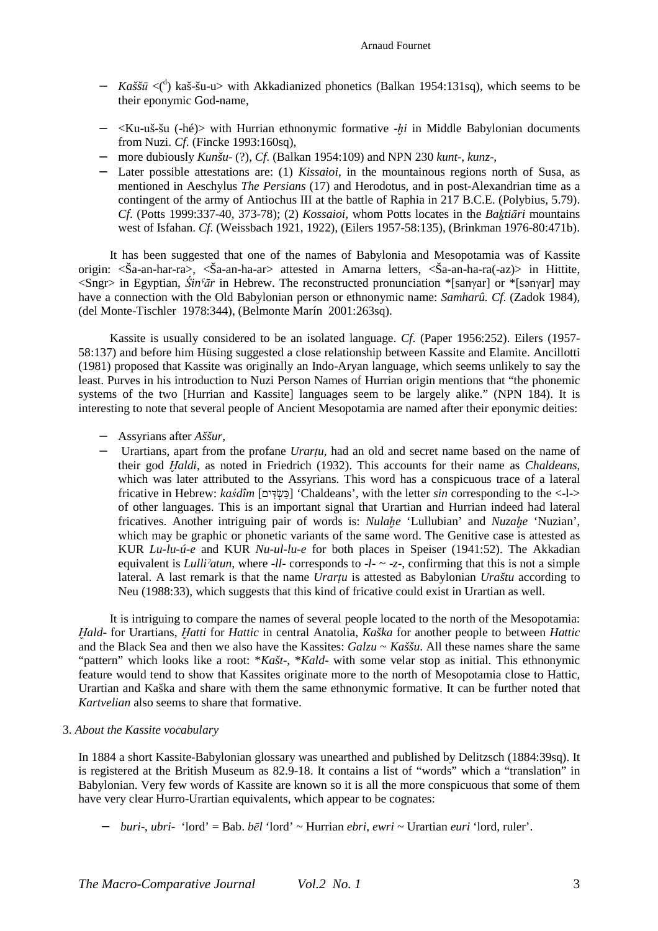- − *Kaššū* <(<sup>d</sup>) kaš-šu-u> with Akkadianized phonetics (Balkan 1954:131sq), which seems to be their eponymic God-name,
- − <Ku-uš-šu (-hé)> with Hurrian ethnonymic formative -*ḫi* in Middle Babylonian documents from Nuzi. *Cf*. (Fincke 1993:160sq),
- − more dubiously *Kunšu* (?), *Cf*. (Balkan 1954:109) and NPN 230 *kunt*-, *kunz*-,
- − Later possible attestations are: (1) *Kissaioi*, in the mountainous regions north of Susa, as mentioned in Aeschylus *The Persians* (17) and Herodotus, and in post-Alexandrian time as a contingent of the army of Antiochus III at the battle of Raphia in 217 B.C.E. (Polybius, 5.79). *Cf*. (Potts 1999:337-40, 373-78); (2) *Kossaioi,* whom Potts locates in the *Baḵtiāri* mountains west of Isfahan. *Cf*. (Weissbach 1921, 1922), (Eilers 1957-58:135), (Brinkman 1976-80:471b).

It has been suggested that one of the names of Babylonia and Mesopotamia was of Kassite origin: <Ša-an-har-ra>, <Ša-an-ha-ar> attested in Amarna letters, <Ša-an-ha-ra(-az)> in Hittite, <Sngr> in Egyptian, *Śinˁār* in Hebrew. The reconstructed pronunciation \*[sanγar] or \*[sənγar] may have a connection with the Old Babylonian person or ethnonymic name: *Samharû. Cf*. (Zadok 1984), (del Monte-Tischler 1978:344), (Belmonte Marín 2001:263sq).

Kassite is usually considered to be an isolated language. *Cf*. (Paper 1956:252). Eilers (1957- 58:137) and before him Hüsing suggested a close relationship between Kassite and Elamite. Ancillotti (1981) proposed that Kassite was originally an Indo-Aryan language, which seems unlikely to say the least. Purves in his introduction to Nuzi Person Names of Hurrian origin mentions that "the phonemic systems of the two [Hurrian and Kassite] languages seem to be largely alike." (NPN 184). It is interesting to note that several people of Ancient Mesopotamia are named after their eponymic deities:

- − Assyrians after *Aššur*,
- − Urartians, apart from the profane *Urarṭu*, had an old and secret name based on the name of their god *Ḫaldi*, as noted in Friedrich (1932). This accounts for their name as *Chaldeans*, which was later attributed to the Assyrians. This word has a conspicuous trace of a lateral fricative in Hebrew: *kaśdîm* [כְּשֶׂדִּים] 'Chaldeans', with the letter *sin* corresponding to the <-l-> of other languages. This is an important signal that Urartian and Hurrian indeed had lateral fricatives. Another intriguing pair of words is: *Nulaḫe* 'Lullubian' and *Nuzaḫe* 'Nuzian', which may be graphic or phonetic variants of the same word. The Genitive case is attested as KUR *Lu-lu-ú-e* and KUR *Nu-ul-lu-e* for both places in Speiser (1941:52). The Akkadian equivalent is *Lulliˀatun*, where -*ll*- corresponds to -*l*- ~ -*z*-, confirming that this is not a simple lateral. A last remark is that the name *Urartu* is attested as Babylonian *Uraštu* according to Neu (1988:33), which suggests that this kind of fricative could exist in Urartian as well.

It is intriguing to compare the names of several people located to the north of the Mesopotamia: *Ḫald*- for Urartians, *Ḫatti* for *Hattic* in central Anatolia, *Kaška* for another people to between *Hattic* and the Black Sea and then we also have the Kassites: *Galzu* ~ *Kaššu*. All these names share the same "pattern" which looks like a root: \**Kašt*-, \**Kald*- with some velar stop as initial. This ethnonymic feature would tend to show that Kassites originate more to the north of Mesopotamia close to Hattic, Urartian and Kaška and share with them the same ethnonymic formative. It can be further noted that *Kartvelian* also seems to share that formative.

# 3. *About the Kassite vocabulary*

In 1884 a short Kassite-Babylonian glossary was unearthed and published by Delitzsch (1884:39sq). It is registered at the British Museum as 82.9-18. It contains a list of "words" which a "translation" in Babylonian. Very few words of Kassite are known so it is all the more conspicuous that some of them have very clear Hurro-Urartian equivalents, which appear to be cognates:

− *buri*-, *ubri*- 'lord' = Bab. *bēl* 'lord' ~ Hurrian *ebri*, *ewri* ~ Urartian *euri* 'lord, ruler'.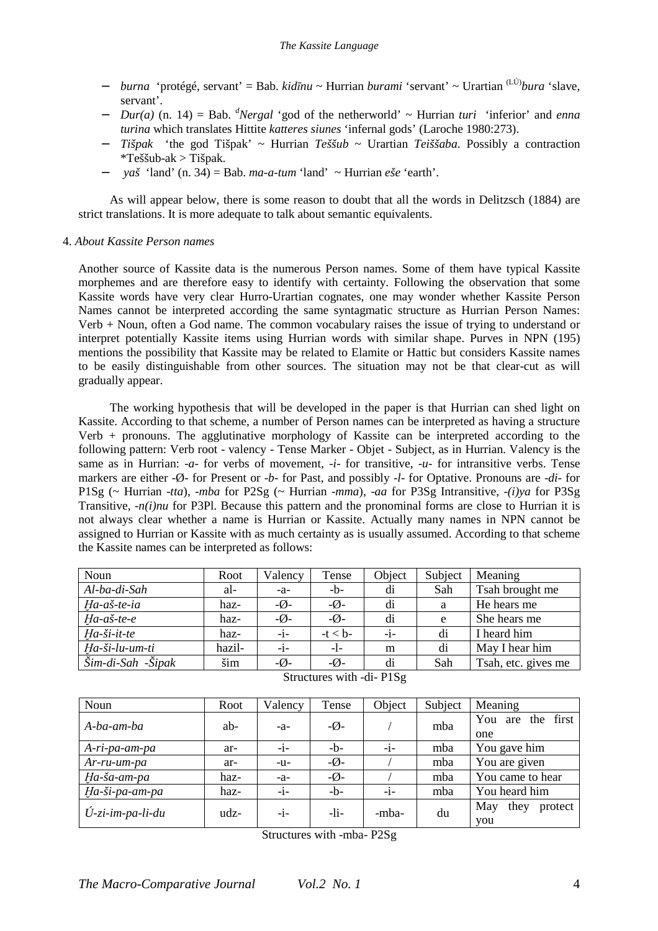- − *burna* 'protégé, servant' = Bab. *kidīnu* ~ Hurrian *burami* 'servant' ~ Urartian (LÚ)*bura* 'slave, servant'.
- − *Dur(a)* (n. 14) = Bab. *<sup>d</sup>Nergal* 'god of the netherworld' ~ Hurrian *turi* 'inferior' and *enna turina* which translates Hittite *katteres siunes* 'infernal gods' (Laroche 1980:273).
- − *Tišpak* 'the god Tišpak' ~ Hurrian *Teššub* ~ Urartian *Teiššaba*. Possibly a contraction \*Teššub-ak > Tišpak.
- − *yaš* 'land' (n. 34) = Bab. *ma-a-tum* 'land' ~ Hurrian *eše* 'earth'.

As will appear below, there is some reason to doubt that all the words in Delitzsch (1884) are strict translations. It is more adequate to talk about semantic equivalents.

# 4. *About Kassite Person names*

Another source of Kassite data is the numerous Person names. Some of them have typical Kassite morphemes and are therefore easy to identify with certainty. Following the observation that some Kassite words have very clear Hurro-Urartian cognates, one may wonder whether Kassite Person Names cannot be interpreted according the same syntagmatic structure as Hurrian Person Names: Verb + Noun, often a God name. The common vocabulary raises the issue of trying to understand or interpret potentially Kassite items using Hurrian words with similar shape. Purves in NPN (195) mentions the possibility that Kassite may be related to Elamite or Hattic but considers Kassite names to be easily distinguishable from other sources. The situation may not be that clear-cut as will gradually appear.

The working hypothesis that will be developed in the paper is that Hurrian can shed light on Kassite. According to that scheme, a number of Person names can be interpreted as having a structure Verb + pronouns. The agglutinative morphology of Kassite can be interpreted according to the following pattern: Verb root - valency - Tense Marker - Objet - Subject, as in Hurrian. Valency is the same as in Hurrian: -*a*- for verbs of movement, -*i*- for transitive, -*u*- for intransitive verbs. Tense markers are either -Ø- for Present or -*b*- for Past, and possibly -*l*- for Optative. Pronouns are -*di*- for P1Sg (~ Hurrian -*tta*), -*mba* for P2Sg (~ Hurrian -*mma*), -*aa* for P3Sg Intransitive, -*(i)ya* for P3Sg Transitive, -*n(i)nu* for P3Pl. Because this pattern and the pronominal forms are close to Hurrian it is not always clear whether a name is Hurrian or Kassite. Actually many names in NPN cannot be assigned to Hurrian or Kassite with as much certainty as is usually assumed. According to that scheme the Kassite names can be interpreted as follows:

| Noun                                      | Root   | Valency                     | Tense                       | Object | Subject | Meaning             |
|-------------------------------------------|--------|-----------------------------|-----------------------------|--------|---------|---------------------|
| Al-ba-di-Sah                              | al-    | $-a-$                       | $-b-$                       | di     | Sah     | Tsah brought me     |
| Ha-aš-te-ia                               | haz-   | $-\boldsymbol{\emptyset}$ - | $-\boldsymbol{\emptyset}$ - | di     | a       | He hears me         |
| $Ha-a\check{s}$ -te-e                     | haz-   | $-\emptyset$ -              | $-\emptyset$ -              | di     | e       | She hears me        |
| Ha-ši-it-te                               | haz-   | $-i-$                       | $-t < b$ -                  | $-i-$  | di      | I heard him         |
| Ha-ši-lu-um-ti                            | hazil- | -i-                         | $-1-$                       | m      | di      | May I hear him      |
| $\overline{\r{Sim-di-Sah}}$ - $\r{Spinx}$ | šim    | $-\boldsymbol{\emptyset}$   | $-\emptyset$ -              | di     | Sah     | Tsah, etc. gives me |

| Noun                      | Root | Valency | Tense                     | Object | Subject | Meaning                           |
|---------------------------|------|---------|---------------------------|--------|---------|-----------------------------------|
| A-ba-am-ba                | ab-  | $-a-$   | $-\emptyset$ -            |        | mba     | first<br>You<br>the<br>are<br>one |
| A-ri-pa-am-pa             | ar-  | $-i-$   | $-h$ -                    | $-i-$  | mba     | You gave him                      |
| $Ar$ -ru-um-pa            | ar-  | $-u-$   | $-\boldsymbol{\emptyset}$ |        | mba     | You are given                     |
| Ha-ša-am-pa               | haz- | $-a-$   | $-\emptyset$ -            |        | mba     | You came to hear                  |
| Ha-ši-pa-am-pa            | haz- | -i-     | $-h$ -                    | $-i-$  | mba     | You heard him                     |
| $\hat{U}$ -zi-im-pa-li-du | udz- | $-1-$   | $-1i-$                    | -mba-  | du      | May<br>they<br>protect<br>you     |

Structures with -di- P1Sg

Structures with -mba- P2Sg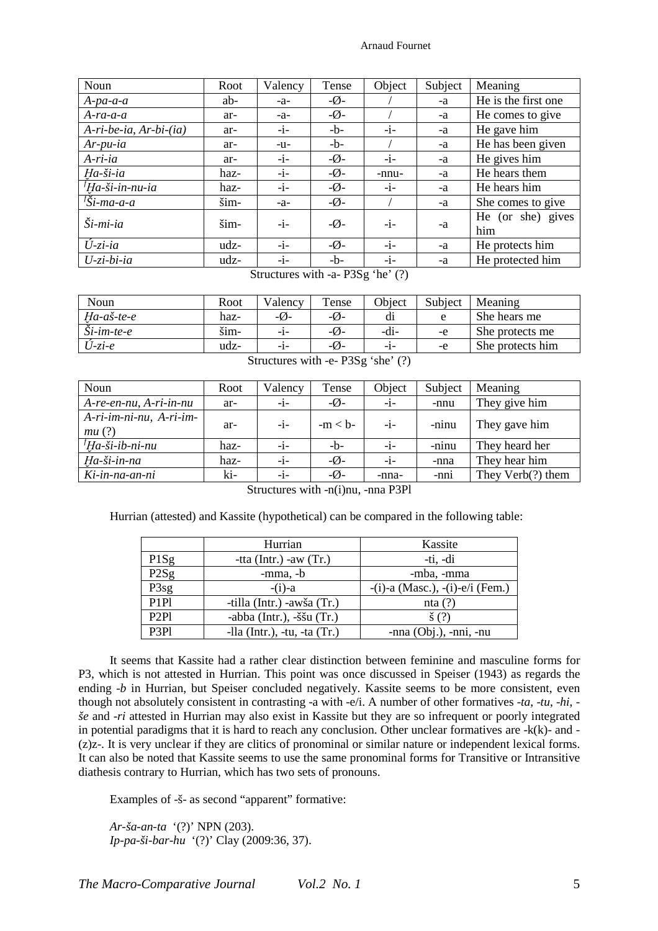| Noun                            | Root | Valency | Tense                       | Object | Subject | Meaning             |
|---------------------------------|------|---------|-----------------------------|--------|---------|---------------------|
| $A$ -pa-a-a                     | ab-  | $-a-$   | $-\emptyset$ -              |        | -a      | He is the first one |
| $A$ -ra-a-a                     | ar-  | $-a-$   | $-\emptyset$ -              |        | -a      | He comes to give    |
| $A$ -ri-be-ia, $Ar-bi$ - $(ia)$ | ar-  | $-i-$   | $-h$ -                      | $-1-$  | -a      | He gave him         |
| $Ar$ -pu-ia                     | ar-  | $-u-$   | $-h$ -                      |        | -a      | He has been given   |
| $A$ -ri-ia                      | ar-  | $-i-$   | $-\emptyset$ -              | $-i-$  | -a      | He gives him        |
| Ha-ši-ia                        | haz- | $-i-$   | $-\boldsymbol{\emptyset}$ - | -nnu-  | -a      | He hears them       |
| <sup>†</sup> Ha-ši-in-nu-ia     | haz- | $-i-$   | $-\boldsymbol{\emptyset}$ - | $-i-$  | -a      | He hears him        |
| $\overline{f}$ Ši-ma-a-a        | šim- | $-a-$   | $-\boldsymbol{\emptyset}$ - |        | -a      | She comes to give   |
| $\check{S}$ <i>i</i> -mi-ia     | šim- | $-i-$   | $-\boldsymbol{\emptyset}$   | $-i-$  |         | He (or she) gives   |
|                                 |      |         |                             |        | -a      | him                 |
| $\hat{U}$ -zi-ia                | udz- | $-i-$   | $-\emptyset$ -              | $-i-$  | -a      | He protects him     |
| $U$ -zi-bi-ia                   | udz- | $-i-$   | $-h$ -                      | $-i-$  | -a      | He protected him    |

Structures with -a- P3Sg 'he' (?)

| Noun                          | Root | Valency          | Tense            | Object | Subject | Meaning          |
|-------------------------------|------|------------------|------------------|--------|---------|------------------|
| $Ha-a\check{s}$ -te-e         | haz- | $-\varnothing$ - | $-\mathcal{O}$ - | d1     | e       | She hears me     |
| $\check{S}$ <i>i</i> -im-te-e | šim- | -1-              | $-\varnothing$ - | -di-   | -e      | She protects me  |
| $U$ -zi-e                     | udz- | $-1-$            | $-\varnothing$ - | -1-    | -e      | She protects him |

Structures with -e- P3Sg 'she' (?)

| Noun                             | Root | Valency | Tense          | Object | Subject | Meaning           |
|----------------------------------|------|---------|----------------|--------|---------|-------------------|
| $A$ -re-en-nu, $A$ -ri-in-nu     | ar-  | $-i-$   | $-\emptyset$ - | $-i-$  | -nnu    | They give him     |
| A-ri-im-ni-nu, A-ri-im-<br>mu(?) | ar-  | $-i-$   | $-m < b$ -     | -i-    | -ninu   | They gave him     |
| ${}^{f}$ Ha-ši-ib-ni-nu          | haz- | $-1-$   | $-b-$          | $-i-$  | -ninu   | They heard her    |
| Ha-ši-in-na                      | haz- | $-i-$   | $-\emptyset$ - | $-i-$  | -nna    | They hear him     |
| Ki-in-na-an-ni                   | ki-  | $-i-$   | $-\emptyset$ - | -nna-  | -nni    | They Verb(?) them |

Structures with -n(i)nu, -nna P3Pl

Hurrian (attested) and Kassite (hypothetical) can be compared in the following table:

|                  | Hurrian                           | Kassite                               |
|------------------|-----------------------------------|---------------------------------------|
| P1Sg             | -tta (Intr.) -aw $(Tr.)$          | -ti, -di                              |
| P2Sg             | $-mma$ , $-b$                     | -mba, -mma                            |
| P3sg             | $-(i)$ -a                         | $-(i)$ -a (Masc.), $-(i)$ -e/i (Fem.) |
| P <sub>1P1</sub> | -tilla (Intr.) -awša (Tr.)        | nta $(?)$                             |
| P <sub>2P1</sub> | -abba (Intr.), $-\xi \xi u$ (Tr.) | $\check{\mathbf{s}}(?)$               |
| P3P1             | -lla $(Int.)$ , -tu, -ta $(Tr.)$  | -nna $(Obj.), -nni, -nu$              |

It seems that Kassite had a rather clear distinction between feminine and masculine forms for P3, which is not attested in Hurrian. This point was once discussed in Speiser (1943) as regards the ending -*b* in Hurrian, but Speiser concluded negatively. Kassite seems to be more consistent, even though not absolutely consistent in contrasting -a with -e/i. A number of other formatives -*ta*, -*tu*, -*hi*, *še* and -*ri* attested in Hurrian may also exist in Kassite but they are so infrequent or poorly integrated in potential paradigms that it is hard to reach any conclusion. Other unclear formatives are -k(k)- and - (z)z-. It is very unclear if they are clitics of pronominal or similar nature or independent lexical forms. It can also be noted that Kassite seems to use the same pronominal forms for Transitive or Intransitive diathesis contrary to Hurrian, which has two sets of pronouns.

Examples of -š- as second "apparent" formative:

*Ar-ša-an-ta* '(?)' NPN (203). *Ip-pa-ši-bar-hu* '(?)' Clay (2009:36, 37).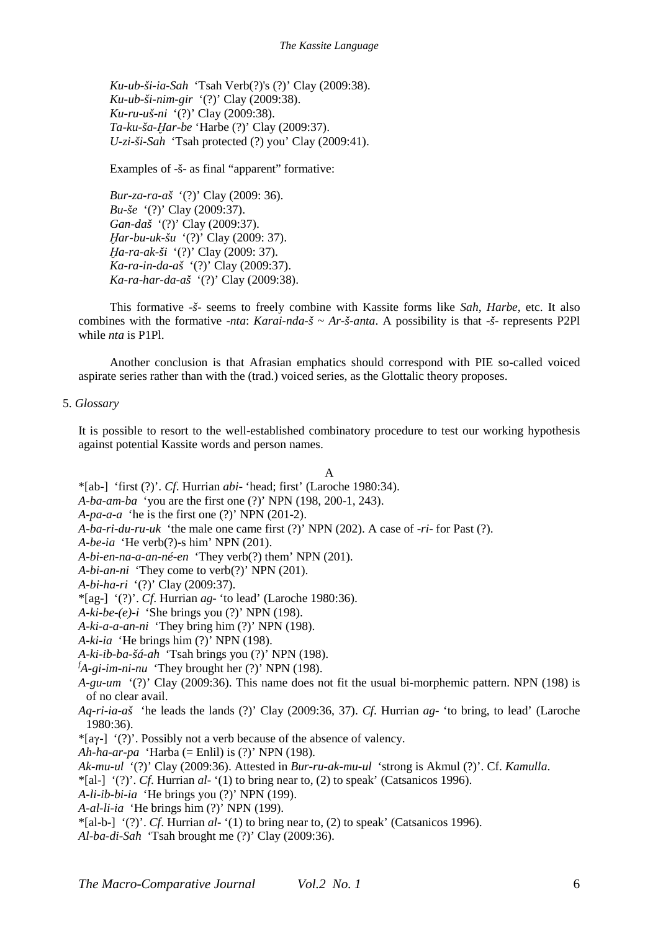*Ku-ub-ši-ia-Sah* 'Tsah Verb(?)'s (?)' Clay (2009:38). *Ku-ub-ši-nim-gir* '(?)' Clay (2009:38). *Ku-ru-uš-ni* '(?)' Clay (2009:38). *Ta-ku-ša-Ḫar-be* 'Harbe (?)' Clay (2009:37). *U-zi-ši-Sah* 'Tsah protected (?) you' Clay (2009:41).

Examples of -š- as final "apparent" formative:

*Bur-za-ra-aš* '(?)' Clay (2009: 36). *Bu-še* '(?)' Clay (2009:37). *Gan-daš* '(?)' Clay (2009:37). *Ḫar-bu-uk-šu* '(?)' Clay (2009: 37). *Ḫa-ra-ak-ši* '(?)' Clay (2009: 37). *Ka-ra-in-da-aš* '(?)' Clay (2009:37). *Ka-ra-har-da-aš* '(?)' Clay (2009:38).

This formative -*š*- seems to freely combine with Kassite forms like *Sah*, *Harbe*, etc. It also combines with the formative -*nta*: *Karai-nda-š* ~ *Ar-š-anta*. A possibility is that -*š*- represents P2Pl while *nta* is P1Pl.

Another conclusion is that Afrasian emphatics should correspond with PIE so-called voiced aspirate series rather than with the (trad.) voiced series, as the Glottalic theory proposes.

# 5. *Glossary*

It is possible to resort to the well-established combinatory procedure to test our working hypothesis against potential Kassite words and person names.

### A

- \*[ab-] 'first (?)'. *Cf*. Hurrian *abi* 'head; first' (Laroche 1980:34).
- *A-ba-am-ba* 'you are the first one (?)' NPN (198, 200-1, 243).
- *A-pa-a-a* 'he is the first one (?)' NPN (201-2).
- *A-ba-ri-du-ru-uk* 'the male one came first (?)' NPN (202). A case of -*ri* for Past (?).
- *A-be-ia* 'He verb(?)-s him' NPN (201).
- *A-bi-en-na-a-an-né-en* 'They verb(?) them' NPN (201).
- *A-bi-an-ni* 'They come to verb(?)' NPN (201).
- *A-bi-ha-ri* '(?)' Clay (2009:37).
- \*[ag-] '(?)'. *Cf*. Hurrian *ag* 'to lead' (Laroche 1980:36).
- $A-ki-be-(e)-i$  'She brings you (?)' NPN (198).
- *A-ki-a-a-an-ni* 'They bring him (?)' NPN (198).
- *A-ki-ia* 'He brings him (?)' NPN (198).
- *A-ki-ib-ba-šá-ah* 'Tsah brings you (?)' NPN (198).
- $f_{A-gi\text{-}im\text{-}ni\text{-}nu}$  'They brought her (?)' NPN (198).
- *A-gu-um* '(?)' Clay (2009:36). This name does not fit the usual bi-morphemic pattern. NPN (198) is of no clear avail.
- *Aq-ri-ia-aš* 'he leads the lands (?)' Clay (2009:36, 37). *Cf*. Hurrian *ag* 'to bring, to lead' (Laroche 1980:36).
- $*$ [a $\gamma$ -] '(?)'. Possibly not a verb because of the absence of valency.
- *Ah-ha-ar-pa* 'Harba (= Enlil) is (?)' NPN (198).
- *Ak-mu-ul* '(?)' Clay (2009:36). Attested in *Bur-ru-ak-mu-ul* 'strong is Akmul (?)'. Cf. *Kamulla*.
- \*[al-] '(?)'. *Cf*. Hurrian *al* '(1) to bring near to, (2) to speak' (Catsanicos 1996).
- *A-li-ib-bi-ia* 'He brings you (?)' NPN (199).
- *A-al-li-ia* 'He brings him (?)' NPN (199).
- \*[al-b-] '(?)'. *Cf*. Hurrian *al* '(1) to bring near to, (2) to speak' (Catsanicos 1996).
- *Al-ba-di-Sah* 'Tsah brought me (?)' Clay (2009:36).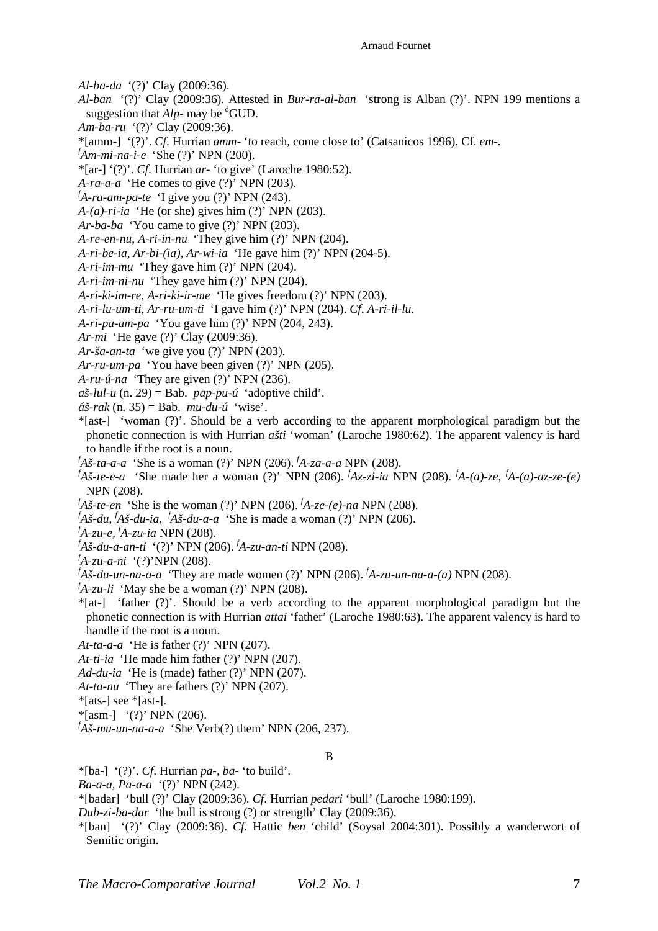*Al-ba-da* '(?)' Clay (2009:36).

- *Al-ban* '(?)' Clay (2009:36). Attested in *Bur-ra-al-ban* 'strong is Alban (?)'. NPN 199 mentions a suggestion that  $Alp$ - may be <sup>d</sup>GUD.
- *Am-ba-ru* '(?)' Clay (2009:36).
- \*[amm-] '(?)'. *Cf*. Hurrian *amm* 'to reach, come close to' (Catsanicos 1996). Cf. *em*-.
- *<sup>f</sup>Am-mi-na-i-e* 'She (?)' NPN (200).
- \*[ar-] '(?)'. *Cf*. Hurrian *ar* 'to give' (Laroche 1980:52).
- *A-ra-a-a* 'He comes to give (?)' NPN (203).
- $f_{A-ra-am-pa-te}$  'I give you (?)' NPN (243).
- $A-(a)-ri-ia$  'He (or she) gives him (?)' NPN (203).
- *Ar-ba-ba* 'You came to give (?)' NPN (203).
- *A-re-en-nu*, *A-ri-in-nu* 'They give him (?)' NPN (204).
- *A-ri-be-ia, Ar-bi-(ia)*, *Ar-wi-ia* 'He gave him (?)' NPN (204-5).
- *A-ri-im-mu* 'They gave him (?)' NPN (204).
- *A-ri-im-ni-nu* 'They gave him (?)' NPN (204).
- *A-ri-ki-im-re*, *A-ri-ki-ir-me* 'He gives freedom (?)' NPN (203).
- *A-ri-lu-um-ti*, *Ar-ru-um-ti* 'I gave him (?)' NPN (204). *Cf*. *A-ri-il-lu*.
- *A-ri-pa-am-pa* 'You gave him (?)' NPN (204, 243).
- *Ar-mi* 'He gave (?)' Clay (2009:36).
- *Ar-ša-an-ta* 'we give you (?)' NPN (203).
- *Ar-ru-um-pa* 'You have been given (?)' NPN (205).
- *A-ru-ú-na* 'They are given (?)' NPN (236).
- $a\check{\sigma}$ -*lul-u* (n. 29) = Bab. *pap-pu-ú* 'adoptive child'.
- *áš-rak* (n. 35) = Bab. *mu-du-ú* 'wise'.
- \*[ast-] 'woman (?)'. Should be a verb according to the apparent morphological paradigm but the phonetic connection is with Hurrian *ašti* 'woman' (Laroche 1980:62). The apparent valency is hard to handle if the root is a noun.
- *<sup>f</sup>Aš-ta-a-a* 'She is a woman (?)' NPN (206). *<sup>f</sup>A-za-a-a* NPN (208).
- *<sup>f</sup>Aš-te-e-a* 'She made her a woman (?)' NPN (206). *<sup>f</sup>Az-zi-ia* NPN (208). *<sup>f</sup>A-(a)-ze, <sup>f</sup>A-(a)-az-ze-(e)* NPN (208).
- $f_{\text{A}}\tilde{s}$ -te-en 'She is the woman (?)' NPN (206).  $f_{\text{A-ze}}(e)$ -na NPN (208).
- *<sup>f</sup>Aš-du*, *<sup>f</sup>Aš-du-ia, <sup>f</sup>Aš-du-a-a* 'She is made a woman (?)' NPN (206).
- *<sup>f</sup>A-zu-e, <sup>f</sup>A-zu-ia* NPN (208).
- *<sup>f</sup>Aš-du-a-an-ti* '(?)' NPN (206). *<sup>f</sup>A-zu-an-ti* NPN (208).
- *<sup>f</sup>A-zu-a-ni* '(?)'NPN (208).
- $f_A$ š-du-un-na-a-a <sup>*'*</sup>They are made women (?)' NPN (206).  $f_A$ -zu-un-na-a-(a) NPN (208).
- $f_A$ -zu-li 'May she be a woman (?)' NPN (208).
- \*[at-] 'father (?)'. Should be a verb according to the apparent morphological paradigm but the phonetic connection is with Hurrian *attai* 'father' (Laroche 1980:63). The apparent valency is hard to handle if the root is a noun.
- *At-ta-a-a* 'He is father (?)' NPN (207).
- *At-ti-ia* 'He made him father (?)' NPN (207).
- *Ad-du-ia* 'He is (made) father (?)' NPN (207).
- *At-ta-nu* 'They are fathers (?)' NPN (207).
- \*[ats-] see \*[ast-].
- $*$ [asm-] '(?)' NPN (206).
- $f_{A\check{S}}$ *-mu-un-na-a-a* 'She Verb(?) them' NPN (206, 237).

### B

- \*[ba-] '(?)'. *Cf*. Hurrian *pa-, ba-* 'to build'.
- *Ba-a-a, Pa-a-a* '(?)' NPN (242).
- \*[badar] 'bull (?)' Clay (2009:36). *Cf*. Hurrian *pedari* 'bull' (Laroche 1980:199).
- *Dub-zi-ba-dar* 'the bull is strong (?) or strength' Clay (2009:36).
- \*[ban] '(?)' Clay (2009:36). *Cf*. Hattic *ben* 'child' (Soysal 2004:301). Possibly a wanderwort of Semitic origin.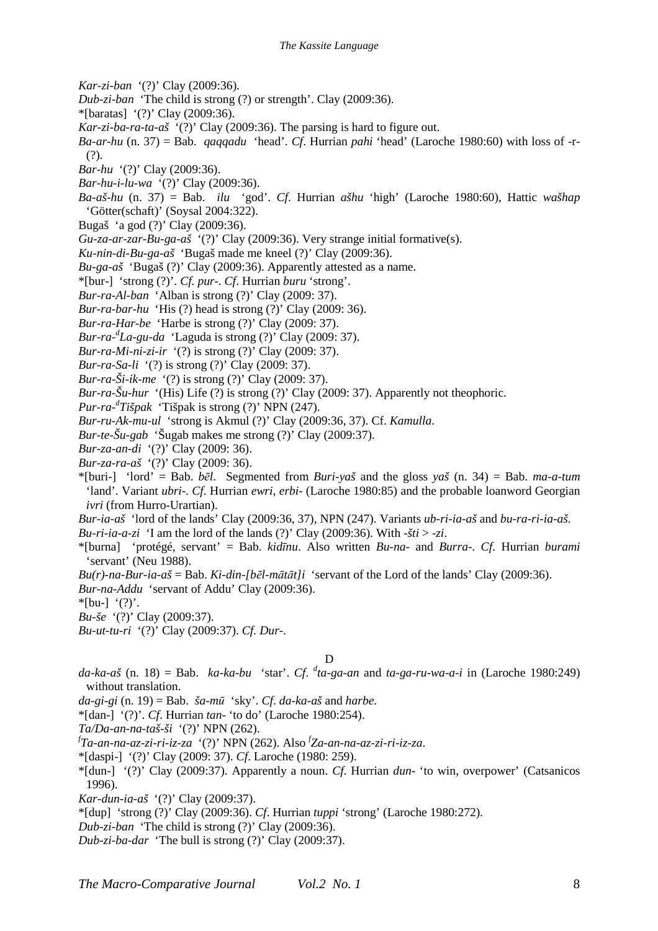- *Kar-zi-ban* '(?)' Clay (2009:36).
- *Dub-zi-ban* 'The child is strong (?) or strength'. Clay (2009:36).
- \*[baratas] '(?)' Clay (2009:36).
- *Kar-zi-ba-ra-ta-aš* '(?)' Clay (2009:36). The parsing is hard to figure out.
- *Ba-ar-hu* (n. 37) = Bab. *qaqqadu* 'head'. *Cf*. Hurrian *pahi* 'head' (Laroche 1980:60) with loss of -r- (?).
- *Bar-hu* '(?)' Clay (2009:36).
- *Bar-hu-i-lu-wa* '(?)' Clay (2009:36).
- *Ba-aš-hu* (n. 37) = Bab. *ilu* 'god'. *Cf*. Hurrian *ašhu* 'high' (Laroche 1980:60), Hattic *wašhap* 'Götter(schaft)' (Soysal 2004:322).
- Bugaš 'a god (?)' Clay (2009:36).
- *Gu-za-ar-zar-Bu-ga-aš* '(?)' Clay (2009:36). Very strange initial formative(s).
- *Ku-nin-di-Bu-ga-aš* 'Bugaš made me kneel (?)' Clay (2009:36).
- *Bu-ga-aš* 'Bugaš (?)' Clay (2009:36). Apparently attested as a name.
- \*[bur-] 'strong (?)'. *Cf. pur*-. *Cf*. Hurrian *buru* 'strong'.
- *Bur-ra-Al-ban* 'Alban is strong (?)' Clay (2009: 37).
- *Bur-ra-bar-hu* 'His (?) head is strong (?)' Clay (2009: 36).
- *Bur-ra-Har-be* 'Harbe is strong (?)' Clay (2009: 37).
- *Bur-ra-<sup>d</sup> La-gu-da* 'Laguda is strong (?)' Clay (2009: 37).
- *Bur-ra-Mi-ni-zi-ir* '(?) is strong (?)' Clay (2009: 37).
- *Bur-ra-Sa-li* (?) is strong (?)' Clay (2009: 37).
- *Bur-ra-Ši-ik-me* '(?) is strong (?)' Clay (2009: 37).
- *Bur-ra-Šu-hur* '(His) Life (?) is strong (?)' Clay (2009: 37). Apparently not theophoric.
- *Pur-ra-<sup>d</sup> Tišpak* 'Tišpak is strong (?)' NPN (247).

*Bur-ru-Ak-mu-ul* 'strong is Akmul (?)' Clay (2009:36, 37). Cf. *Kamulla*.

- *Bur-te-Šu-gab* 'Šugab makes me strong (?)' Clay (2009:37).
- *Bur-za-an-di* '(?)' Clay (2009: 36).
- *Bur-za-ra-aš* '(?)' Clay (2009: 36).
- \*[buri-] 'lord' = Bab. *bēl*. Segmented from *Buri-yaš* and the gloss *yaš* (n. 34) = Bab. *ma-a-tum* 'land'. Variant *ubri*-. *Cf*. Hurrian *ewri*, *erbi*- (Laroche 1980:85) and the probable loanword Georgian *ivri* (from Hurro-Urartian).
- *Bur-ia-aš* 'lord of the lands' Clay (2009:36, 37), NPN (247). Variants *ub-ri-ia-aš* and *bu-ra-ri-ia-aš*.
- *Bu-ri-ia-a-zi* 'I am the lord of the lands (?)' Clay (2009:36). With - $\check{t}$ ti > -zi.
- \*[burna] 'protégé, servant' = Bab. *kidīnu*. Also written *Bu-na-* and *Burra*-. *Cf*. Hurrian *burami* 'servant' (Neu 1988).
- $Bu(r)$ -na-Bur-ia-aš = Bab. *Ki-din-[bēl-mātāt]i* 'servant of the Lord of the lands' Clay (2009:36).
- *Bur-na-Addu* 'servant of Addu' Clay (2009:36).
- $*$ [bu-]  $'(?)'.$
- *Bu-še* '(?)' Clay (2009:37).
- *Bu-ut-tu-ri* '(?)' Clay (2009:37). *Cf. Dur*-.

# D

- da-ka-aš (n. 18) = Bab. *ka-ka-bu* 'star'. *Cf.* <sup>*d*</sup>ta-ga-an and *ta-ga-ru-wa-a-i* in (Laroche 1980:249) without translation.
- *da-gi-gi* (n. 19) = Bab. *ša-mū* 'sky'. *Cf*. *da-ka-aš* and *harbe.*
- \*[dan-] '(?)'. *Cf*. Hurrian *tan* 'to do' (Laroche 1980:254).
- *Ta/Da-an-na-taš-ši* '(?)' NPN (262).
- *f Ta-an-na-az-zi-ri-iz-za* '(?)' NPN (262). Also *<sup>f</sup> Za-an-na-az-zi-ri-iz-za*.
- \*[daspi-] '(?)' Clay (2009: 37). *Cf*. Laroche (1980: 259).
- \*[dun-] '(?)' Clay (2009:37). Apparently a noun. *Cf*. Hurrian *dun* 'to win, overpower' (Catsanicos 1996).
- *Kar-dun-ia-aš* '(?)' Clay (2009:37).
- \*[dup] 'strong (?)' Clay (2009:36). *Cf*. Hurrian *tuppi* 'strong' (Laroche 1980:272).
- *Dub-zi-ban* 'The child is strong (?)' Clay (2009:36).
- *Dub-zi-ba-dar* 'The bull is strong (?)' Clay (2009:37).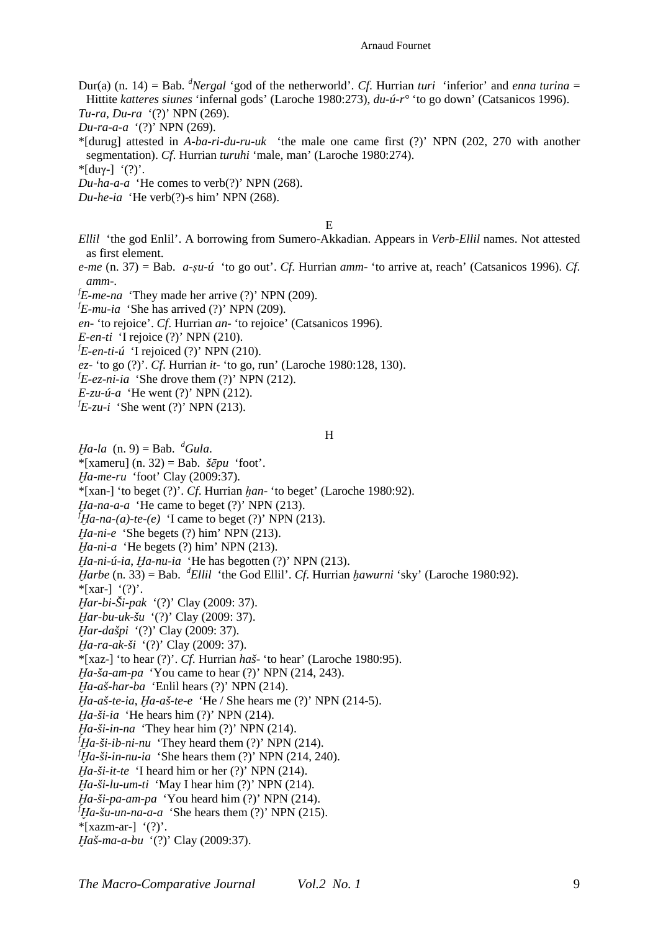- Dur(a) (n. 14) = Bab.  $^{d}$ *Nergal* 'god of the netherworld'. *Cf*. Hurrian *turi* 'inferior' and *enna turina* = Hittite *katteres siunes* 'infernal gods' (Laroche 1980:273), *du-ú-r°* 'to go down' (Catsanicos 1996). *Tu-ra, Du-ra* '(?)' NPN (269).
- *Du-ra-a-a* '(?)' NPN (269).
- \*[durug] attested in *A-ba-ri-du-ru-uk* 'the male one came first (?)' NPN (202, 270 with another segmentation). *Cf*. Hurrian *turuhi* 'male, man' (Laroche 1980:274).
- \*[duγ-] '(?)'.
- *Du-ha-a-a* 'He comes to verb(?)' NPN (268).
- *Du-he-ia* 'He verb(?)-s him' NPN (268).

E

- *Ellil* 'the god Enlil'. A borrowing from Sumero-Akkadian. Appears in *Verb-Ellil* names. Not attested as first element.
- *e-me* (n. 37) = Bab. *a-ṣu-ú* 'to go out'. *Cf*. Hurrian *amm* 'to arrive at, reach' (Catsanicos 1996). *Cf*. *amm*-.
- ${}^fE$ -me-na<sup>·</sup>They made her arrive (?)' NPN (209).
- ${}^fE$ -mu-ia 'She has arrived (?)' NPN (209).
- *en-* 'to rejoice'. *Cf*. Hurrian *an* 'to rejoice' (Catsanicos 1996).
- *E-en-ti* 'I rejoice (?)' NPN (210).
- ${}^{f}E\text{-}en\text{-}ti\text{-}u$  'I rejoiced (?)' NPN (210).
- *ez-* 'to go (?)'. *Cf*. Hurrian *it* 'to go, run' (Laroche 1980:128, 130).
- ${}^fE$ -ez-ni-ia 'She drove them (?)' NPN (212).
- *E-zu-ú-a* 'He went (?)' NPN (212).
- $f_{\text{E-zu-i}}$  'She went (?)' NPN (213).

#### H

- *Ha-la*  $(n, 9) = Bab$ . <sup>*d*</sup>*Gula*.
- \*[xameru] (n. 32) = Bab. *šēpu* 'foot'.
- *Ḫa-me-ru* 'foot' Clay (2009:37).
- \*[xan-] 'to beget (?)'. *Cf*. Hurrian *ḫan* 'to beget' (Laroche 1980:92).
- *Ḫa-na-a-a* 'He came to beget (?)' NPN (213).
- ${}^{f}Ha$ -na-(a)-te-(e) 'I came to beget (?)' NPN (213).
- *Ḫa-ni-e* 'She begets (?) him' NPN (213).
- *Ḫa-ni-a* 'He begets (?) him' NPN (213).
- *Ḫa-ni-ú-ia*, *Ḫa-nu-ia* 'He has begotten (?)' NPN (213).
- *Ḫarbe* (n. 33) = Bab. *<sup>d</sup>Ellil* 'the God Ellil'. *Cf*. Hurrian *ḫawurni* 'sky' (Laroche 1980:92).  $*$ [xar-] '(?)'.
- *Ḫar-bi-Ši-pak* '(?)' Clay (2009: 37).
- *Ḫar-bu-uk-šu* '(?)' Clay (2009: 37).
- *Ḫar-dašpi* '(?)' Clay (2009: 37).
- *Ḫa-ra-ak-ši* '(?)' Clay (2009: 37).
- \*[xaz-] 'to hear (?)'. *Cf*. Hurrian *haš* 'to hear' (Laroche 1980:95).
- *Ḫa-ša-am-pa* 'You came to hear (?)' NPN (214, 243).
- *Ḫa-aš-har-ba* 'Enlil hears (?)' NPN (214).
- *Ḫa-aš-te-ia*, *Ḫa-aš-te-e* 'He / She hears me (?)' NPN (214-5).
- *Ḫa-ši-ia* 'He hears him (?)' NPN (214).
- *Ḫa-ši-in-na* 'They hear him (?)' NPN (214).
- $^{f}$ *Ha-ši-ib-ni-nu* 'They heard them (?)' NPN (214).
- $f_{Ha-Si-in-nu-ia}$  'She hears them (?)' NPN (214, 240).
- *Ḫa-ši-it-te* 'I heard him or her (?)' NPN (214).
- *Ḫa-ši-lu-um-ti* 'May I hear him (?)' NPN (214).
- *Ḫa-ši-pa-am-pa* 'You heard him (?)' NPN (214).
- ${}^{f}$ *Ha-šu-un-na-a-a* 'She hears them (?)' NPN (215).
- $*$ [xazm-ar-]  $'(?)'.$
- *Ḫaš-ma-a-bu* '(?)' Clay (2009:37).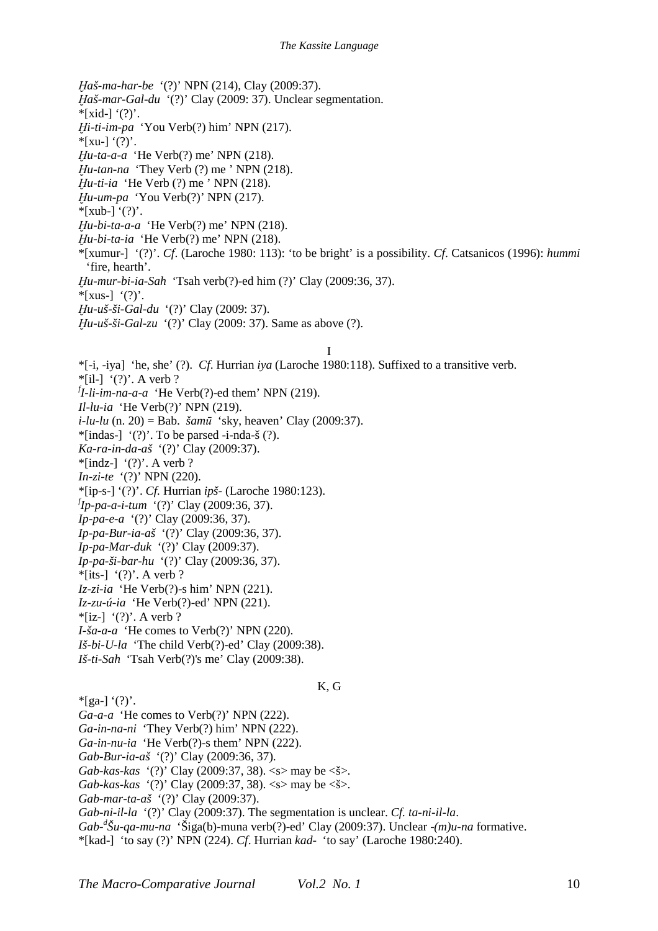*Ḫaš-ma-har-be* '(?)' NPN (214), Clay (2009:37). *Ḫaš-mar-Gal-du* '(?)' Clay (2009: 37). Unclear segmentation.  $*$ [xid-] '(?)'. *Ḫi-ti-im-pa* 'You Verb(?) him' NPN (217).  $*$ [xu-] '(?)'. *Ḫu-ta-a-a* 'He Verb(?) me' NPN (218). *Ḫu-tan-na* 'They Verb (?) me ' NPN (218). *Ḫu-ti-ia* 'He Verb (?) me ' NPN (218). *Ḫu-um-pa* 'You Verb(?)' NPN (217).  $*$ [xub-] '(?)'. *Ḫu-bi-ta-a-a* 'He Verb(?) me' NPN (218). *Ḫu-bi-ta-ia* 'He Verb(?) me' NPN (218). \*[xumur-] '(?)'. *Cf*. (Laroche 1980: 113): 'to be bright' is a possibility. *Cf*. Catsanicos (1996): *hummi* 'fire, hearth'. *Ḫu-mur-bi-ia-Sah* 'Tsah verb(?)-ed him (?)' Clay (2009:36, 37).  $*$ [xus-]  $'(?)'.$ *Ḫu-uš-ši-Gal-du* '(?)' Clay (2009: 37). *Ḫu-uš-ši-Gal-zu* '(?)' Clay (2009: 37). Same as above (?). I \*[-i, -iya] 'he, she' (?). *Cf*. Hurrian *iya* (Laroche 1980:118). Suffixed to a transitive verb.  $*$ [il-] '(?)'. A verb ? *f I-li-im-na-a-a* 'He Verb(?)-ed them' NPN (219). *Il-lu-ia* 'He Verb(?)' NPN (219). *i-lu-lu* (n. 20) = Bab. *šamū* 'sky, heaven' Clay (2009:37). \*[indas-]  $'(?)'$ . To be parsed -i-nda-š  $(?)$ . *Ka-ra-in-da-aš* '(?)' Clay (2009:37).  $*$ [indz-] '(?)'. A verb ? *In-zi-te* '(?)' NPN (220). \*[ip-s-] '(?)'. *Cf.* Hurrian *ipš-* (Laroche 1980:123). *f Ip-pa-a-i-tum* '(?)' Clay (2009:36, 37). *Ip-pa-e-a* '(?)' Clay (2009:36, 37). *Ip-pa-Bur-ia-aš* '(?)' Clay (2009:36, 37). *Ip-pa-Mar-duk* '(?)' Clay (2009:37). *Ip-pa-ši-bar-hu* '(?)' Clay (2009:36, 37).

- $*$ [its-] '(?)'. A verb ?
- *Iz-zi-ia* 'He Verb(?)-s him' NPN (221).
- *Iz-zu-ú-ia* 'He Verb(?)-ed' NPN (221).
- $*$ [iz-] '(?)'. A verb ?
- *I-ša-a-a* 'He comes to Verb(?)' NPN (220).
- *Iš-bi-U-la* 'The child Verb(?)-ed' Clay (2009:38).
- *Iš-ti-Sah* 'Tsah Verb(?)'s me' Clay (2009:38).
- $*[ga-]$  '(?)'.
- *Ga-a-a* 'He comes to Verb(?)' NPN (222).
- *Ga-in-na-ni* 'They Verb(?) him' NPN (222).
- *Ga-in-nu-ia* 'He Verb(?)-s them' NPN (222).
- *Gab-Bur-ia-aš* '(?)' Clay (2009:36, 37).
- *Gab-kas-kas* '(?)' Clay (2009:37, 38). <s> may be <š>.
- *Gab-kas-kas* '(?)' Clay (2009:37, 38). <s> may be <š>.
- *Gab-mar-ta-aš* '(?)' Clay (2009:37).
- *Gab-ni-il-la* '(?)' Clay (2009:37). The segmentation is unclear. *Cf. ta-ni-il-la*.
- *Gab-<sup>d</sup> Šu-qa-mu-na* 'Šiga(b)-muna verb(?)-ed' Clay (2009:37). Unclear -*(m)u-na* formative.

K, G

\*[kad-] 'to say (?)' NPN (224). *Cf*. Hurrian *kad*- 'to say' (Laroche 1980:240).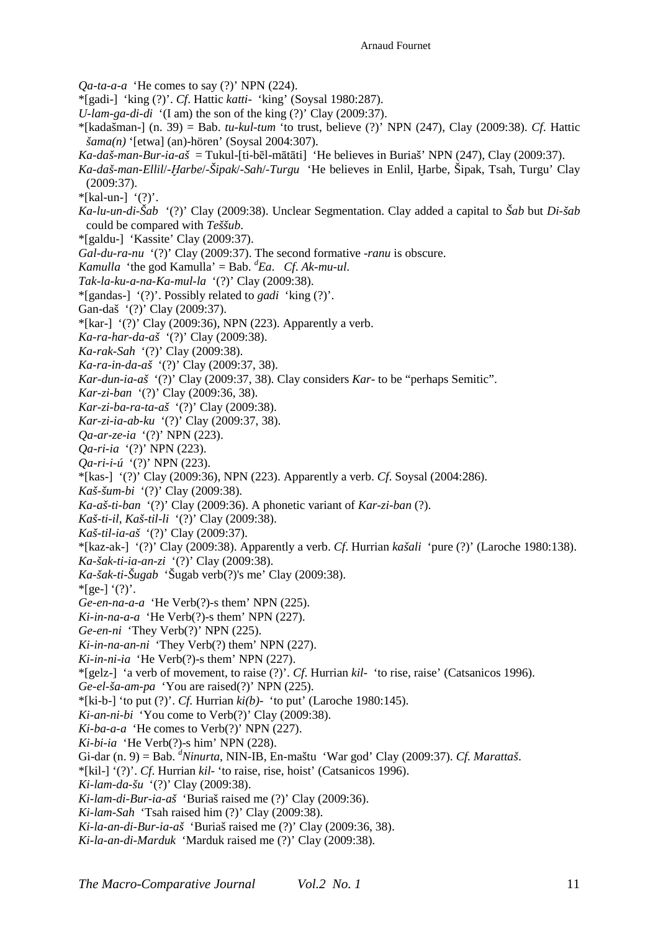*Qa-ta-a-a* 'He comes to say (?)' NPN (224).

- \*[gadi-] 'king (?)'. *Cf*. Hattic *katti* 'king' (Soysal 1980:287).
- *U-lam-ga-di-di* '(I am) the son of the king (?)' Clay (2009:37).
- \*[kadašman-] (n. 39) = Bab. *tu-kul-tum* 'to trust, believe (?)' NPN (247), Clay (2009:38). *Cf*. Hattic *šama(n)* '[etwa] (an)-hören' (Soysal 2004:307).
- *Ka-daš-man-Bur-ia-aš* = Tukul-[ti-bēl-mātāti] 'He believes in Buriaš' NPN (247), Clay (2009:37).
- *Ka-daš-man-Ellil*/*-Ḫarbe*/*-Šipak*/*-Sah*/*-Turgu* 'He believes in Enlil, Ḫarbe, Šipak, Tsah, Turgu' Clay (2009:37).
- $*$ [kal-un-] '(?)'.
- *Ka-lu-un-di-Šab* '(?)' Clay (2009:38). Unclear Segmentation. Clay added a capital to *Šab* but *Di-šab* could be compared with *Teššub*.
- \*[galdu-] 'Kassite' Clay (2009:37).
- *Gal-du-ra-nu* '(?)' Clay (2009:37). The second formative -*ranu* is obscure.
- *Kamulla* 'the god Kamulla' = Bab.  ${}^d$  *Eachi>et al. *Ch. Ak-mu-ul.**
- *Tak-la-ku-a-na-Ka-mul-la* '(?)' Clay (2009:38).
- \*[gandas-] '(?)'. Possibly related to *gadi* 'king (?)'.
- Gan-daš '(?)' Clay (2009:37).
- \*[kar-]  $'(?)'$  Clay (2009:36), NPN (223). Apparently a verb.
- *Ka-ra-har-da-aš* '(?)' Clay (2009:38).
- *Ka-rak-Sah* '(?)' Clay (2009:38).
- *Ka-ra-in-da-aš* '(?)' Clay (2009:37, 38).
- *Kar-dun-ia-aš* '(?)' Clay (2009:37, 38). Clay considers *Kar* to be "perhaps Semitic".
- *Kar-zi-ban* '(?)' Clay (2009:36, 38).
- *Kar-zi-ba-ra-ta-aš* '(?)' Clay (2009:38).
- *Kar-zi-ia-ab-ku* '(?)' Clay (2009:37, 38).
- *Qa-ar-ze-ia* '(?)' NPN (223).
- *Qa-ri-ia* '(?)' NPN (223).
- *Qa-ri-i-ú* '(?)' NPN (223).
- \*[kas-] '(?)' Clay (2009:36), NPN (223). Apparently a verb. *Cf*. Soysal (2004:286).
- *Kaš-šum-bi* '(?)' Clay (2009:38).
- *Ka-aš-ti-ban* '(?)' Clay (2009:36). A phonetic variant of *Kar-zi-ban* (?).
- *Kaš-ti-il*, *Kaš-til-li* '(?)' Clay (2009:38).
- *Kaš-til-ia-aš* '(?)' Clay (2009:37).
- \*[kaz-ak-] '(?)' Clay (2009:38). Apparently a verb. *Cf*. Hurrian *kašali* 'pure (?)' (Laroche 1980:138). *Ka-šak-ti-ia-an-zi* '(?)' Clay (2009:38).
- *Ka-šak-ti-Šugab* 'Šugab verb(?)'s me' Clay (2009:38).
- $*$ [ge-] '(?)'.
- *Ge-en-na-a-a* 'He Verb(?)-s them' NPN (225).
- *Ki-in-na-a-a* 'He Verb(?)-s them' NPN (227).
- *Ge-en-ni* 'They Verb(?)' NPN (225).
- *Ki-in-na-an-ni* 'They Verb(?) them' NPN (227).
- *Ki-in-ni-ia* 'He Verb(?)-s them' NPN (227).
- \*[gelz-] 'a verb of movement, to raise (?)'. *Cf*. Hurrian *kil* 'to rise, raise' (Catsanicos 1996).
- *Ge-el-ša-am-pa* 'You are raised(?)' NPN (225).
- \*[ki-b-] 'to put (?)'. *Cf*. Hurrian *ki(b)* 'to put' (Laroche 1980:145).
- *Ki-an-ni-bi* 'You come to Verb(?)' Clay (2009:38).
- *Ki-ba-a-a* 'He comes to Verb(?)' NPN (227).
- *Ki-bi-ia* 'He Verb(?)-s him' NPN (228).
- Gi-dar (n. 9) = Bab. *<sup>d</sup>Ninurta*, NIN-IB, En-maštu 'War god' Clay (2009:37). *Cf. Marattaš*.
- \*[kil-] '(?)'. *Cf*. Hurrian *kil* 'to raise, rise, hoist' (Catsanicos 1996).
- *Ki-lam-da-šu* '(?)' Clay (2009:38).
- *Ki-lam-di-Bur-ia-aš* 'Buriaš raised me (?)' Clay (2009:36).
- *Ki-lam-Sah* 'Tsah raised him (?)' Clay (2009:38).
- *Ki-la-an-di-Bur-ia-aš* 'Buriaš raised me (?)' Clay (2009:36, 38).
- *Ki-la-an-di-Marduk* 'Marduk raised me (?)' Clay (2009:38).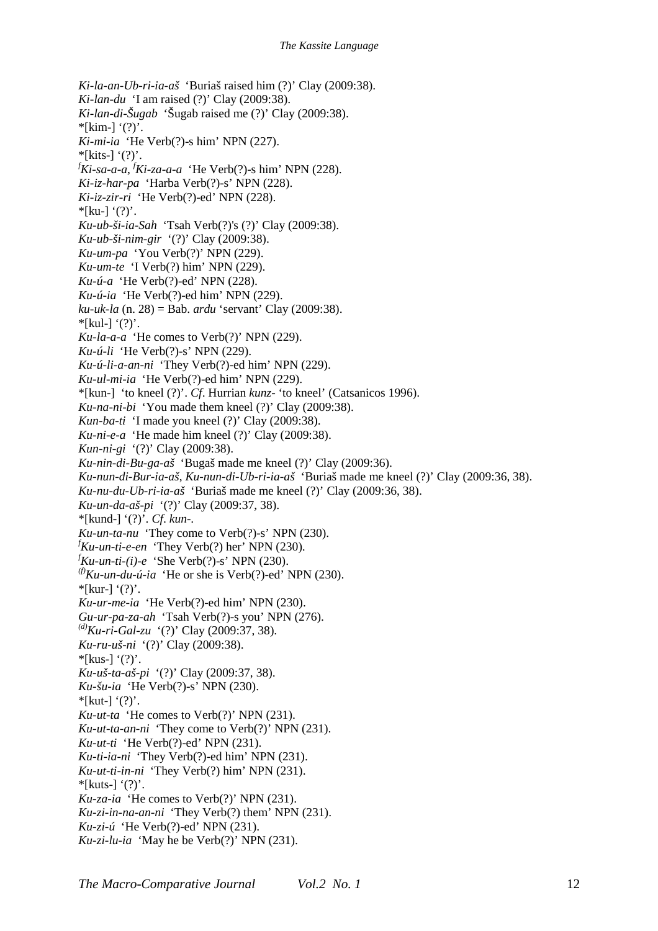*Ki-la-an-Ub-ri-ia-aš* 'Buriaš raised him (?)' Clay (2009:38). *Ki-lan-du* 'I am raised (?)' Clay (2009:38). *Ki-lan-di-Šugab* 'Šugab raised me (?)' Clay (2009:38).  $*$ [kim-] '(?)'. *Ki-mi-ia* 'He Verb(?)-s him' NPN (227).  $*$ [kits-] '(?)'. *<sup>f</sup>Ki-sa-a-a*, *<sup>f</sup>Ki-za-a-a* 'He Verb(?)-s him' NPN (228). *Ki-iz-har-pa* 'Harba Verb(?)-s' NPN (228). *Ki-iz-zir-ri* 'He Verb(?)-ed' NPN (228).  $*$ [ku-] '(?)'. *Ku-ub-ši-ia-Sah* 'Tsah Verb(?)'s (?)' Clay (2009:38). *Ku-ub-ši-nim-gir* '(?)' Clay (2009:38). *Ku-um-pa* 'You Verb(?)' NPN (229). *Ku-um-te* 'I Verb(?) him' NPN (229). *Ku-ú-a* 'He Verb(?)-ed' NPN (228). *Ku-ú-ia* 'He Verb(?)-ed him' NPN (229). *ku-uk-la* (n. 28) = Bab. *ardu* 'servant' Clay (2009:38).  $*$ [kul-] '(?)'. *Ku-la-a-a* 'He comes to Verb(?)' NPN (229). *Ku-ú-li* 'He Verb(?)-s' NPN (229). *Ku-ú-li-a-an-ni* 'They Verb(?)-ed him' NPN (229). *Ku-ul-mi-ia* 'He Verb(?)-ed him' NPN (229). \*[kun-] 'to kneel (?)'. *Cf*. Hurrian *kunz*- 'to kneel' (Catsanicos 1996). *Ku-na-ni-bi* 'You made them kneel (?)' Clay (2009:38). *Kun-ba-ti* 'I made you kneel (?)' Clay (2009:38). *Ku-ni-e-a* 'He made him kneel (?)' Clay (2009:38). *Kun-ni-gi* '(?)' Clay (2009:38). *Ku-nin-di-Bu-ga-aš* 'Bugaš made me kneel (?)' Clay (2009:36). *Ku-nun-di-Bur-ia-aš*, *Ku-nun-di-Ub-ri-ia-aš* 'Buriaš made me kneel (?)' Clay (2009:36, 38). *Ku-nu-du-Ub-ri-ia-aš* 'Buriaš made me kneel (?)' Clay (2009:36, 38). *Ku-un-da-aš-pi* '(?)' Clay (2009:37, 38). \*[kund-] '(?)'. *Cf*. *kun*-. *Ku-un-ta-nu* 'They come to Verb(?)-s' NPN (230). *<sup>f</sup>Ku-un-ti-e-en* 'They Verb(?) her' NPN (230).  ${}^f$ *Ku-un-ti-(i)-e* 'She Verb(?)-s' NPN (230).  ${}^{(f)}$ *Ku-un-du-ú-ia* 'He or she is Verb(?)-ed' NPN (230).  $*$ [kur-] '(?)'. *Ku-ur-me-ia* 'He Verb(?)-ed him' NPN (230). *Gu-ur-pa-za-ah* 'Tsah Verb(?)-s you' NPN (276). *(d)Ku-ri-Gal-zu* '(?)' Clay (2009:37, 38). *Ku-ru-uš-ni* '(?)' Clay (2009:38).  $*$ [kus-] '(?)'. *Ku-uš-ta-aš-pi* '(?)' Clay (2009:37, 38). *Ku-šu-ia* 'He Verb(?)-s' NPN (230).  $*$ [kut-] '(?)'. *Ku-ut-ta* 'He comes to Verb(?)' NPN (231). *Ku-ut-ta-an-ni* 'They come to Verb(?)' NPN (231). *Ku-ut-ti* 'He Verb(?)-ed' NPN (231). *Ku-ti-ia-ni* 'They Verb(?)-ed him' NPN (231). *Ku-ut-ti-in-ni* 'They Verb(?) him' NPN (231).  $*$ [kuts-] '(?)'. *Ku-za-ia* 'He comes to Verb(?)' NPN (231). *Ku-zi-in-na-an-ni* 'They Verb(?) them' NPN (231). *Ku-zi-ú* 'He Verb(?)-ed' NPN (231). *Ku-zi-lu-ia* 'May he be Verb(?)' NPN (231).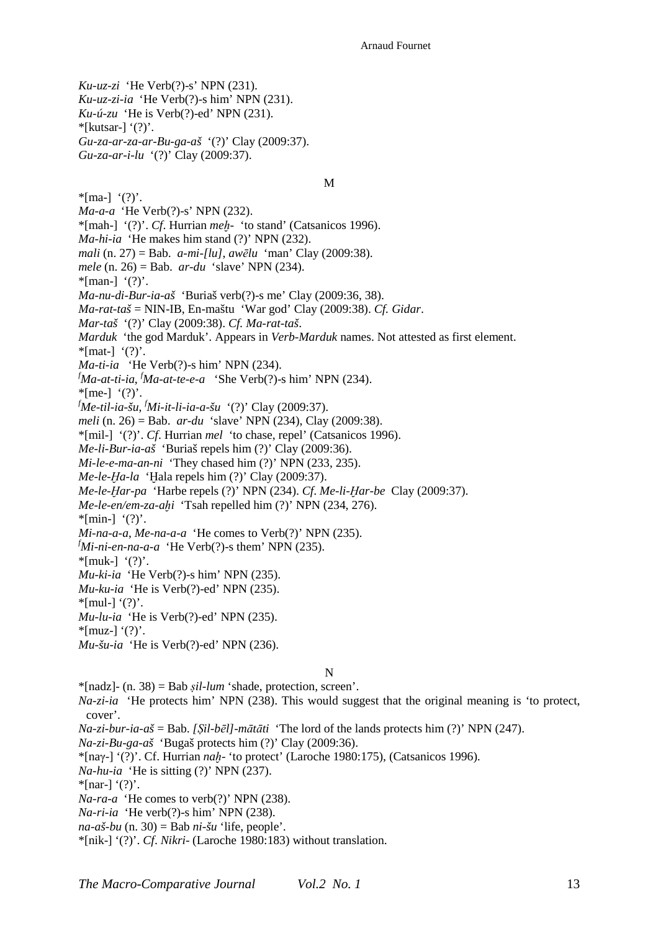*Ku-uz-zi* 'He Verb(?)-s' NPN (231). *Ku-uz-zi-ia* 'He Verb(?)-s him' NPN (231). *Ku-ú-zu* 'He is Verb(?)-ed' NPN (231).

 $*$ [kutsar-] '(?)'.

*Gu-za-ar-za-ar-Bu-ga-aš* '(?)' Clay (2009:37). *Gu-za-ar-i-lu* '(?)' Clay (2009:37).

 $*$ [ma-]  $'(?)'.$ 

M

*Ma-a-a* 'He Verb(?)-s' NPN (232).

\*[mah-] '(?)'. *Cf*. Hurrian *meḫ-* 'to stand' (Catsanicos 1996).

*Ma-hi-ia* 'He makes him stand (?)' NPN (232).

*mali* (n. 27) = Bab. *a-mi-[lu]*, *awēlu* 'man' Clay (2009:38).

*mele* (n. 26) = Bab. *ar-du* 'slave' NPN (234).

\*[man-]  $'(?)'.$ 

*Ma-nu-di-Bur-ia-aš* 'Buriaš verb(?)-s me' Clay (2009:36, 38).

*Ma-rat-taš* = NIN-IB, En-maštu 'War god' Clay (2009:38). *Cf. Gidar*.

*Mar-taš* '(?)' Clay (2009:38). *Cf. Ma-rat-taš*.

*Marduk* 'the god Marduk'. Appears in *Verb-Marduk* names. Not attested as first element.

 $*$ [mat-] '(?)'.

*Ma-ti-ia* 'He Verb(?)-s him' NPN (234).

*<sup>f</sup>Ma-at-ti-ia*, *<sup>f</sup>Ma-at-te-e-a* 'She Verb(?)-s him' NPN (234).

 $*$ [me-]  $'(?)'.$ 

*<sup>f</sup>Me-til-ia-šu*, *<sup>f</sup>Mi-it-li-ia-a-šu* '(?)' Clay (2009:37).

*meli* (n. 26) = Bab. *ar-du* 'slave' NPN (234), Clay (2009:38).

\*[mil-] '(?)'. *Cf*. Hurrian *mel* 'to chase, repel' (Catsanicos 1996).

*Me-li-Bur-ia-aš* 'Buriaš repels him (?)' Clay (2009:36).

*Mi-le-e-ma-an-ni* 'They chased him (?)' NPN (233, 235).

*Me-le-Ḫa-la* 'Ḫala repels him (?)' Clay (2009:37).

*Me-le-Ḫar-pa* 'Harbe repels (?)' NPN (234). *Cf*. *Me-li-Ḫar-be* Clay (2009:37).

*Me-le-en/em-za-ahi* 'Tsah repelled him (?)' NPN (234, 276).

 $*$ [min-] '(?)'.

*Mi-na-a-a*, *Me-na-a-a* 'He comes to Verb(?)' NPN (235).

*<sup>f</sup>Mi-ni-en-na-a-a* 'He Verb(?)-s them' NPN (235).

 $*$ [muk-] '(?)'.

*Mu-ki-ia* 'He Verb(?)-s him' NPN (235).

*Mu-ku-ia* 'He is Verb(?)-ed' NPN (235).

 $*$ [mul-] '(?)'.

*Mu-lu-ia* 'He is Verb(?)-ed' NPN (235).

 $*$ [muz-] '(?)'.

*Mu-šu-ia* 'He is Verb(?)-ed' NPN (236).

N

\*[nadz]- (n. 38) = Bab *ṣil-lum* 'shade, protection, screen'.

*Na-zi-ia* 'He protects him' NPN (238). This would suggest that the original meaning is 'to protect, cover'.

*Na-zi-bur-ia-aš* = Bab. *[Ṣil-bēl]-mātāti* 'The lord of the lands protects him (?)' NPN (247).

*Na-zi-Bu-ga-aš* 'Bugaš protects him (?)' Clay (2009:36).

\*[naγ-] '(?)'. Cf. Hurrian *naḫ*- 'to protect' (Laroche 1980:175), (Catsanicos 1996).

*Na-hu-ia* 'He is sitting (?)' NPN (237).

 $*$ [nar-] '(?)'.

*Na-ra-a* 'He comes to verb(?)' NPN (238).

*Na-ri-ia* 'He verb(?)-s him' NPN (238).

 $na-a\check{s}-bu$  (n. 30) = Bab  $ni-\check{s}u$  'life, people'.

\*[nik-] '(?)'. *Cf*. *Nikri*- (Laroche 1980:183) without translation.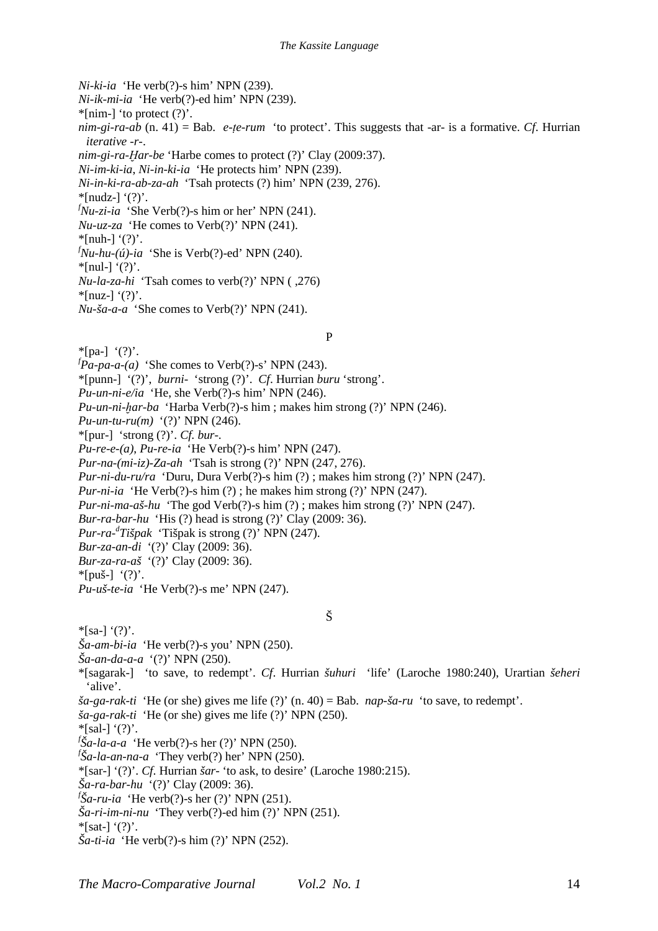*Ni-ki-ia* 'He verb(?)-s him' NPN (239).

*Ni-ik-mi-ia* 'He verb(?)-ed him' NPN (239).

 $*$ [nim-] 'to protect  $(?)'.$ 

*nim-gi-ra-ab* (n. 41) = Bab. *e-ṭe-rum* 'to protect'. This suggests that -ar- is a formative. *Cf*. Hurrian *iterative -r-*.

*nim-gi-ra-Ḫar-be* 'Harbe comes to protect (?)' Clay (2009:37).

*Ni-im-ki-ia*, *Ni-in-ki-ia* 'He protects him' NPN (239).

*Ni-in-ki-ra-ab-za-ah* 'Tsah protects (?) him' NPN (239, 276).

 $*$ [nudz-] '(?)'.

 $f_{Nu-zi-ia}$  'She Verb(?)-s him or her' NPN (241).

*Nu-uz-za* 'He comes to Verb(?)' NPN (241).

 $*$ [nuh-] '(?)'.

 $f_{\textit{Nu-hu}-(\textit{u})-ia}$  'She is Verb(?)-ed' NPN (240).

 $*$ [nul-] '(?)'.

*Nu-la-za-hi* 'Tsah comes to verb(?)' NPN ( ,276)

 $*$ [nuz-] '(?)'.

*Nu-ša-a-a* 'She comes to Verb(?)' NPN (241).

### P

 $*$ [pa-]  $'(?)'.$ 

 $f_{\textit{Pa-pa-a-(a)}}$  'She comes to Verb(?)-s' NPN (243).

\*[punn-] '(?)', *burni*- 'strong (?)'. *Cf*. Hurrian *buru* 'strong'.

*Pu-un-ni-e/ia* 'He, she Verb(?)-s him' NPN (246).

*Pu-un-ni-ḫar-ba* 'Harba Verb(?)-s him ; makes him strong (?)' NPN (246).

*Pu-un-tu-ru(m)* '(?)' NPN (246).

\*[pur-] 'strong (?)'. *Cf. bur*-.

*Pu-re-e-(a)*, *Pu-re-ia* 'He Verb(?)-s him' NPN (247).

*Pur-na-(mi-iz)-Za-ah* 'Tsah is strong (?)' NPN (247, 276).

*Pur-ni-du-ru/ra* 'Duru, Dura Verb(?)-s him (?) ; makes him strong (?)' NPN (247).

*Pur-ni-ia* 'He Verb(?)-s him (?); he makes him strong (?)' NPN (247).

*Pur-ni-ma-aš-hu* 'The god Verb(?)-s him (?) ; makes him strong (?)' NPN (247).

*Bur-ra-bar-hu* 'His (?) head is strong (?)' Clay (2009: 36).

*Pur-ra-<sup>d</sup> Tišpak* 'Tišpak is strong (?)' NPN (247).

*Bur-za-an-di* '(?)' Clay (2009: 36).

*Bur-za-ra-aš* '(?)' Clay (2009: 36).

 $*$ [puš-] '(?)'.

*Pu-uš-te-ia* 'He Verb(?)-s me' NPN (247).

# Š

 $*$ [sa-] '(?)'.

*Ša-am-bi-ia* 'He verb(?)-s you' NPN (250).

*Ša-an-da-a-a* '(?)' NPN (250).

\*[sagarak-] 'to save, to redempt'. *Cf*. Hurrian *šuhuri* 'life' (Laroche 1980:240), Urartian *šeheri* 'alive'.

*ša-ga-rak-ti* 'He (or she) gives me life (?)' (n. 40) = Bab. *nap-ša-ru* 'to save, to redempt'.

*ša-ga-rak-ti* 'He (or she) gives me life (?)' NPN (250).

 $*\lceil$ sal-] '(?)'.

*f Ša-la-a-a* 'He verb(?)-s her (?)' NPN (250).

*f Ša-la-an-na-a* 'They verb(?) her' NPN (250).

\*[sar-] '(?)'. *Cf*. Hurrian *šar*- 'to ask, to desire' (Laroche 1980:215).

*Ša-ra-bar-hu* '(?)' Clay (2009: 36).

*f Ša-ru-ia* 'He verb(?)-s her (?)' NPN (251).

*Ša-ri-im-ni-nu* 'They verb(?)-ed him (?)' NPN (251).

 $*$ [sat-] '(?)'.

*Ša-ti-ia* 'He verb(?)-s him (?)' NPN (252).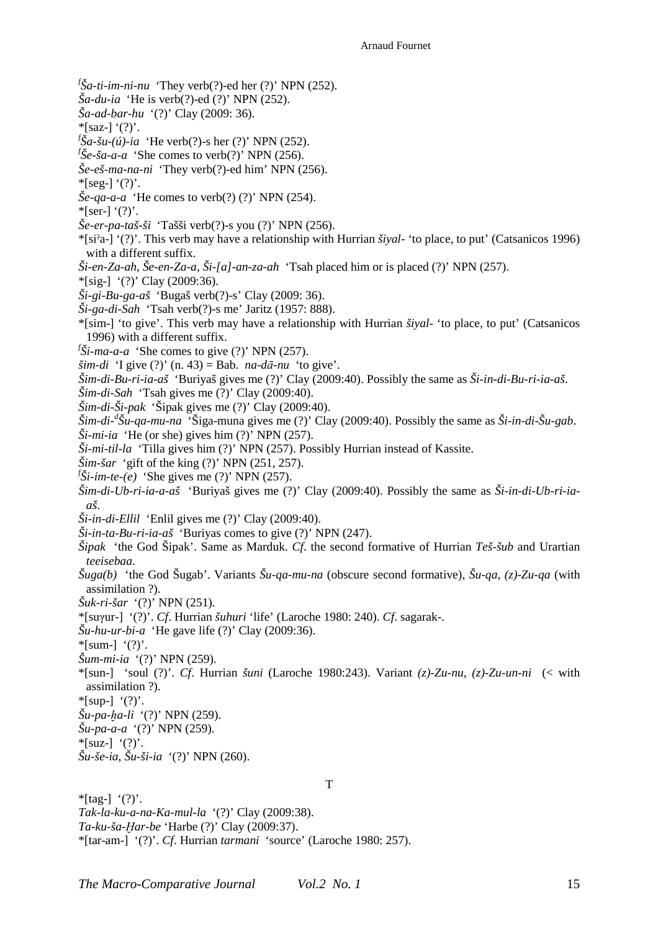*f Ša-ti-im-ni-nu* 'They verb(?)-ed her (?)' NPN (252).

- *Ša-du-ia* 'He is verb(?)-ed (?)' NPN (252).
- *Ša-ad-bar-hu* '(?)' Clay (2009: 36).
- $*$ [saz-] '(?)'.
- *f Ša-šu-(ú)-ia* 'He verb(?)-s her (?)' NPN (252).
- $f\check{S}e$ -*ša-a-a* 'She comes to verb $(?)'$  NPN (256).
- *Še-eš-ma-na-ni* 'They verb(?)-ed him' NPN (256).
- $*$ [seg-] '(?)'.
- *Še-qa-a-a* 'He comes to verb(?) (?)' NPN (254).
- $*$ [ser-] '(?)'.
- *Še-er-pa-taš-ši* 'Tašši verb(?)-s you (?)' NPN (256).
- \*[siˀa-] '(?)'. This verb may have a relationship with Hurrian *šiyal-* 'to place, to put' (Catsanicos 1996) with a different suffix.
- *Ši-en-Za-ah*, *Še-en-Za-a*, *Ši-[a]-an-za-ah* 'Tsah placed him or is placed (?)' NPN (257).
- \*[sig-] '(?)' Clay (2009:36).
- *Ši-gi-Bu-ga-aš* 'Bugaš verb(?)-s' Clay (2009: 36).
- *Ši-ga-di-Sah* 'Tsah verb(?)-s me' Jaritz (1957: 888).
- \*[sim-] 'to give'. This verb may have a relationship with Hurrian *šiyal-* 'to place, to put' (Catsanicos 1996) with a different suffix.
- $f\ddot{\text{S}}$ *i-ma-a-a* 'She comes to give (?)' NPN (257).
- *šim-di* 'I give (?)' (n. 43) = Bab. *na-dā-nu* 'to give'.
- *Šim-di-Bu-ri-ia-aš* 'Buriyaš gives me (?)' Clay (2009:40). Possibly the same as *Ši-in-di*-*Bu-ri-ia-aš*.
- *Šim-di-Sah* 'Tsah gives me (?)' Clay (2009:40).
- *Šim-di-Ši-pak* 'Šipak gives me (?)' Clay (2009:40).
- *Šim-di-<sup>d</sup> Šu-qa-mu-na* 'Šiga-muna gives me (?)' Clay (2009:40). Possibly the same as *Ši-in-di*-*Šu-gab*.  $\check{S}$ *i-mi-ia* 'He (or she) gives him (?)' NPN (257).
- *Ši-mi-til-la* 'Tilla gives him (?)' NPN (257). Possibly Hurrian instead of Kassite.
- *Šim-šar* 'gift of the king (?)' NPN (251, 257).
- $f\ddot{\text{S}}$ *i-im-te-(e)* 'She gives me (?)' NPN (257).
- *Šim-di-Ub-ri-ia-a-aš* 'Buriyaš gives me (?)' Clay (2009:40). Possibly the same as *Ši-in-di*-*Ub-ri-iaaš*.
- *Ši-in-di-Ellil* 'Enlil gives me (?)' Clay (2009:40).
- *Ši-in-ta-Bu-ri-ia-aš* 'Buriyas comes to give (?)' NPN (247).
- *Šipak* 'the God Šipak'. Same as Marduk. *Cf*. the second formative of Hurrian *Teš-šub* and Urartian *teeisebaa*.
- *Šuga(b)* 'the God Šugab'. Variants *Šu-qa-mu-na* (obscure second formative), *Šu-qa*, *(z)*-*Zu-qa* (with assimilation ?).
- *Šuk-ri-šar* '(?)' NPN (251).
- \*[suγur-] '(?)'. *Cf*. Hurrian *šuhuri* 'life' (Laroche 1980: 240). *Cf*. sagarak-.
- *Šu-hu-ur-bi-a* 'He gave life (?)' Clay (2009:36).
- $*$ [sum-]  $'(?)'.$
- *Šum-mi-ia* '(?)' NPN (259).
- \*[sun-] 'soul (?)'. *Cf*. Hurrian *šuni* (Laroche 1980:243). Variant *(z)*-*Zu-nu*, *(z)*-*Zu-un-ni* (< with assimilation ?).

T

- $*$ [sup-]  $'(?)'.$
- *Šu-pa-ḫa-li* '(?)' NPN (259).
- *Šu-pa-a-a* '(?)' NPN (259).
- $*$ [suz-] '(?)'.
- *Šu-še-ia*, *Šu-ši-ia* '(?)' NPN (260).

 $*$ [tag-] '(?)'. *Tak-la-ku-a-na-Ka-mul-la* '(?)' Clay (2009:38). *Ta-ku-ša-Ḫar-be* 'Harbe (?)' Clay (2009:37). \*[tar-am-] '(?)'. *Cf*. Hurrian *tarmani* 'source' (Laroche 1980: 257).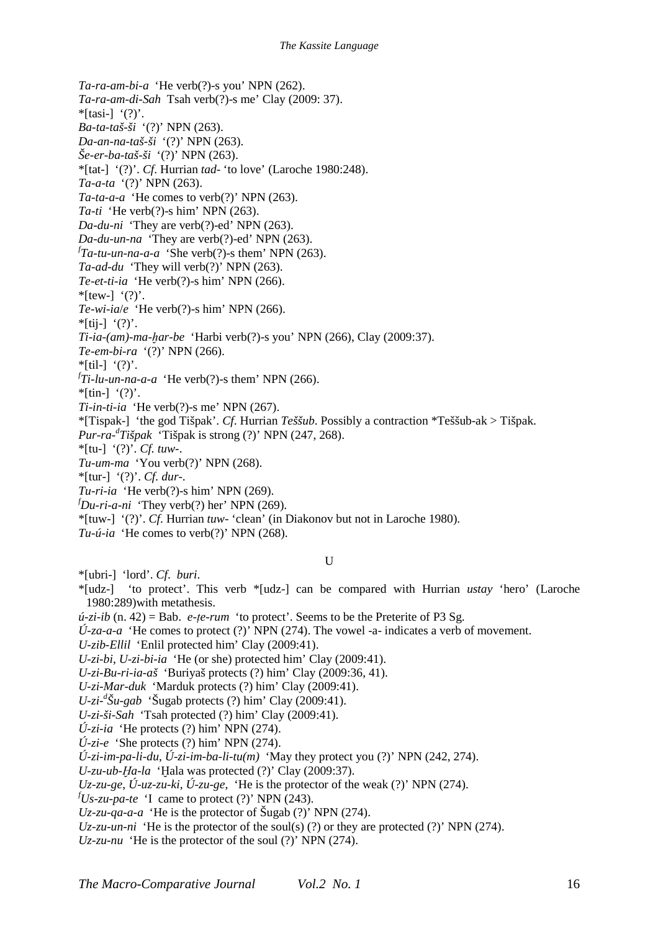*Ta-ra-am-bi-a* 'He verb(?)-s you' NPN (262). *Ta-ra-am-di-Sah* Tsah verb(?)-s me' Clay (2009: 37).  $*$ [tasi-] '(?)'. *Ba-ta-taš-ši* '(?)' NPN (263). *Da-an-na-taš-ši* '(?)' NPN (263). *Še-er-ba-taš-ši* '(?)' NPN (263). \*[tat-] '(?)'. *Cf*. Hurrian *tad*- 'to love' (Laroche 1980:248). *Ta-a-ta* '(?)' NPN (263). *Ta-ta-a-a* 'He comes to verb(?)' NPN (263). *Ta-ti* 'He verb(?)-s him' NPN (263). *Da-du-ni* 'They are verb(?)-ed' NPN (263). *Da-du-un-na* 'They are verb(?)-ed' NPN (263). *f Ta-tu-un-na-a-a* 'She verb(?)-s them' NPN (263). *Ta-ad-du* 'They will verb(?)' NPN (263). *Te-et-ti-ia* 'He verb(?)-s him' NPN (266).  $*$ [tew-]  $'(?)'.$ *Te-wi-ia*/*e* 'He verb(?)-s him' NPN (266).  $*$ [tij-] '(?)'. *Ti-ia-(am)-ma-ḫar-be* 'Harbi verb(?)-s you' NPN (266), Clay (2009:37). *Te-em-bi-ra* '(?)' NPN (266).  $*$ [til-] '(?)'. *f Ti-lu-un-na-a-a* 'He verb(?)-s them' NPN (266).  $*$ [tin-] '(?)'. *Ti-in-ti-ia* 'He verb(?)-s me' NPN (267). \*[Tispak-] 'the god Tišpak'. *Cf*. Hurrian *Teššub*. Possibly a contraction \*Teššub-ak > Tišpak. *Pur-ra-<sup>d</sup> Tišpak* 'Tišpak is strong (?)' NPN (247, 268). \*[tu-] '(?)'. *Cf. tuw-*. *Tu-um-ma* 'You verb(?)' NPN (268). \*[tur-] '(?)'. *Cf. dur*-. *Tu-ri-ia* 'He verb(?)-s him' NPN (269).  $f_{\text{D}u-\text{ri}-a-\text{ni}}$  'They verb(?) her' NPN (269). \*[tuw-] '(?)'. *Cf*. Hurrian *tuw*- 'clean' (in Diakonov but not in Laroche 1980). *Tu-ú-ia* 'He comes to verb(?)' NPN (268).  $\mathbf{U}$ \*[ubri-] 'lord'. *Cf*. *buri*. \*[udz-] 'to protect'. This verb \*[udz-] can be compared with Hurrian *ustay* 'hero' (Laroche 1980:289)with metathesis.  *(n. 42) = Bab. <i>e-te-rum* 'to protect'. Seems to be the Preterite of P3 Sg.  $\acute{U}$ -*za-a-a* 'He comes to protect (?)' NPN (274). The vowel -a- indicates a verb of movement. *U-zib-Ellil* 'Enlil protected him' Clay (2009:41). *U-zi-bi*, *U-zi-bi-ia* 'He (or she) protected him' Clay (2009:41). *U-zi-Bu-ri-ia-aš* 'Buriyaš protects (?) him' Clay (2009:36, 41). *U-zi-Mar-duk* 'Marduk protects (?) him' Clay (2009:41). *U-zi-<sup>d</sup> Šu-gab* 'Šugab protects (?) him' Clay (2009:41). *U-zi-ši-Sah* 'Tsah protected (?) him' Clay (2009:41).

 $\hat{U}$ -z*i-ia* 'He protects (?) him' NPN (274).

 $\acute{U}$ -zi-e 'She protects (?) him' NPN (274).

*Ú-zi-im-pa-li-du*, *Ú-zi-im-ba-li-tu(m)* 'May they protect you (?)' NPN (242, 274).

*U-zu-ub-Ḫa-la* 'Ḫala was protected (?)' Clay (2009:37).

*Uz-zu-ge*, *Ú-uz-zu-ki*, *Ú-zu-ge*, 'He is the protector of the weak (?)' NPN (274).

 $f_{Us-zu-pa-te}$  'I came to protect (?)' NPN (243).

*Uz-zu-qa-a-a* 'He is the protector of Šugab (?)' NPN (274).

*Uz-zu-un-ni* 'He is the protector of the soul(s) (?) or they are protected (?)' NPN (274).

*Uz-zu-nu* 'He is the protector of the soul (?)' NPN (274).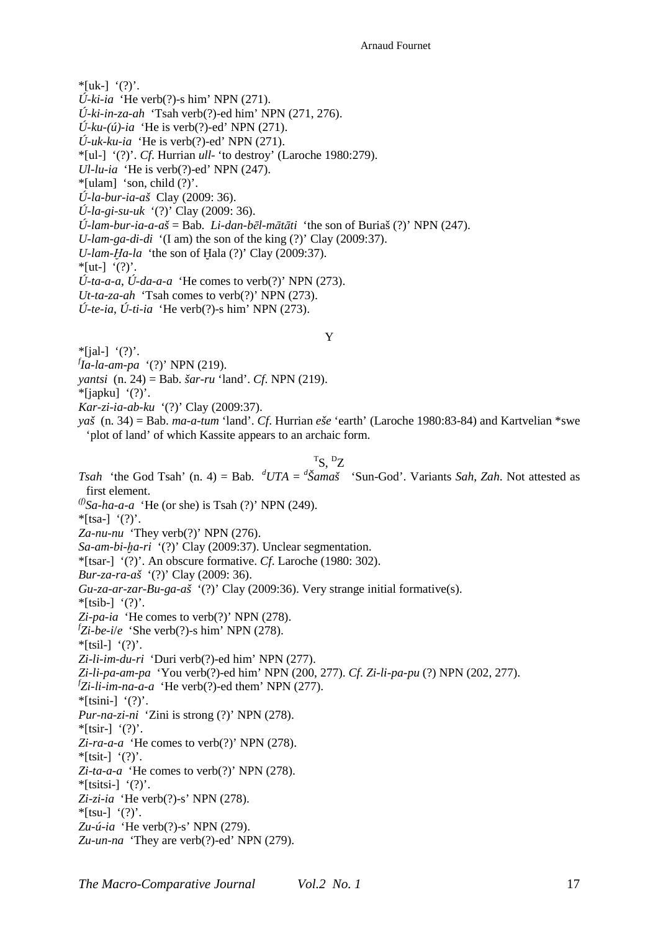$*$ [uk-]  $'(?)'.$ 

- *Ú-ki-ia* 'He verb(?)-s him' NPN (271).
- *Ú-ki-in-za-ah* 'Tsah verb(?)-ed him' NPN (271, 276).
- $\acute{U}$ -ku-(ú)-ia 'He is verb(?)-ed' NPN (271).
- $$

\*[ul-] '(?)'. *Cf*. Hurrian *ull*- 'to destroy' (Laroche 1980:279).

*Ul-lu-ia* 'He is verb(?)-ed' NPN (247).

 $*$ [ulam] 'son, child  $(?)'$ .

*Ú-la-bur-ia-aš* Clay (2009: 36).

*Ú-la-gi-su-uk* '(?)' Clay (2009: 36).

*Ú-lam-bur-ia-a-aš* = Bab. *Li-dan-bēl-mātāti* 'the son of Buriaš (?)' NPN (247).

*U-lam-ga-di-di* '(I am) the son of the king (?)' Clay (2009:37).

*U-lam-Ḫa-la* 'the son of Ḫala (?)' Clay (2009:37).

 $*[ut-] '(?)'.$ 

*Ú-ta-a-a*, *Ú-da-a-a* 'He comes to verb(?)' NPN (273).

*Ut-ta-za-ah* 'Tsah comes to verb(?)' NPN (273).

*Ú-te-ia*, *Ú-ti-ia* 'He verb(?)-s him' NPN (273).

#### Y

 $*$ [ial-] '(?)'.

*f Ia-la-am-pa* '(?)' NPN (219).

*yantsi* (n. 24) = Bab. *šar-ru* 'land'. *Cf*. NPN (219).

 $*$ [japku] '(?)'.

*Kar-zi-ia-ab-ku* '(?)' Clay (2009:37).

*yaš* (n. 34) = Bab. *ma-a-tum* 'land'. *Cf*. Hurrian *eše* 'earth' (Laroche 1980:83-84) and Kartvelian \*swe 'plot of land' of which Kassite appears to an archaic form.

# $\mathrm{^{T}S}, \mathrm{^{D}Z}$

*Tsah* 'the God Tsah' (n. 4) = Bab.  ${}^dUTA = {}^d\check{S}ama\check{s}$  'Sun-God'. Variants *Sah*, *Zah*. Not attested as first element.  $^{(f)}$ *Sa-ha-a-a* 'He (or she) is Tsah (?)' NPN (249).  $*$ [tsa-] '(?)'. *Za-nu-nu* 'They verb(?)' NPN (276). *Sa-am-bi-ḫa-ri* '(?)' Clay (2009:37). Unclear segmentation. \*[tsar-] '(?)'. An obscure formative. *Cf*. Laroche (1980: 302). *Bur-za-ra-aš* '(?)' Clay (2009: 36). *Gu-za-ar-zar-Bu-ga-aš* '(?)' Clay (2009:36). Very strange initial formative(s).  $*$ [tsib-] '(?)'. *Zi-pa-ia* 'He comes to verb(?)' NPN (278).  $fZi-be-i/e$  'She verb $(?)$ -s him' NPN  $(278)$ .  $*$ [tsil-]  $'(?)'.$ *Zi-li-im-du-ri* 'Duri verb(?)-ed him' NPN (277). *Zi-li-pa-am-pa* 'You verb(?)-ed him' NPN (200, 277). *Cf*. *Zi-li-pa-pu* (?) NPN (202, 277). *f Zi-li-im-na-a-a* 'He verb(?)-ed them' NPN (277).  $*$ [tsini-] '(?)'. *Pur-na-zi-ni* 'Zini is strong (?)' NPN (278).  $*$ [tsir-] '(?)'. *Zi-ra-a-a* 'He comes to verb(?)' NPN (278). \*[tsit-]  $'(?)'.$ *Zi-ta-a-a* 'He comes to verb(?)' NPN (278).  $*$ [tsitsi-] '(?)'. *Zi-zi-ia* 'He verb(?)-s' NPN (278).  $*$ [tsu-] '(?)'. *Zu-ú-ia* 'He verb(?)-s' NPN (279). *Zu-un-na* 'They are verb(?)-ed' NPN (279).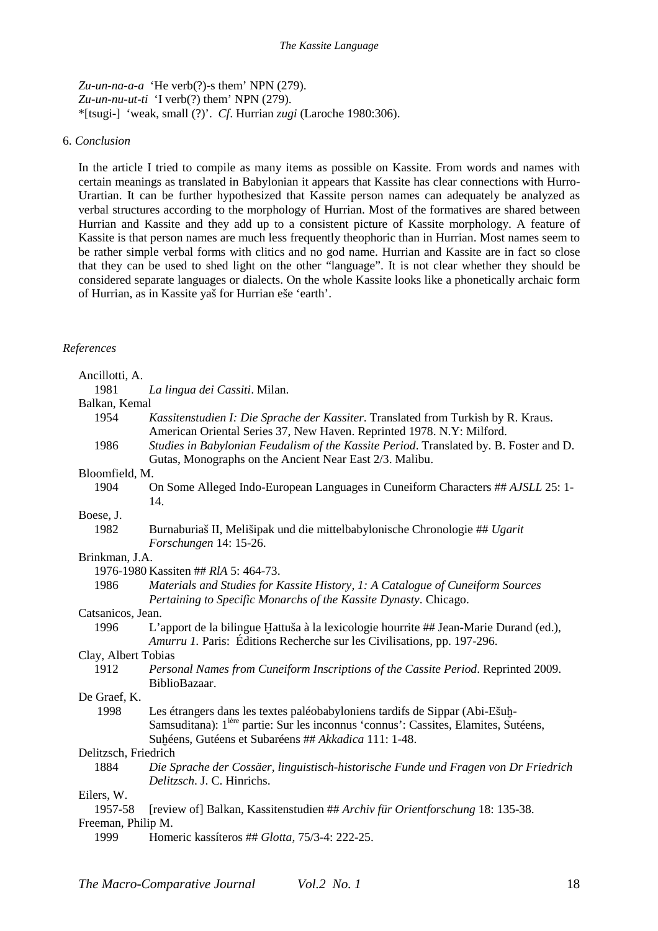*Zu-un-na-a-a* 'He verb(?)-s them' NPN (279). *Zu-un-nu-ut-ti* 'I verb(?) them' NPN (279). \*[tsugi-] 'weak, small (?)'. *Cf*. Hurrian *zugi* (Laroche 1980:306).

## 6. *Conclusion*

In the article I tried to compile as many items as possible on Kassite. From words and names with certain meanings as translated in Babylonian it appears that Kassite has clear connections with Hurro-Urartian. It can be further hypothesized that Kassite person names can adequately be analyzed as verbal structures according to the morphology of Hurrian. Most of the formatives are shared between Hurrian and Kassite and they add up to a consistent picture of Kassite morphology. A feature of Kassite is that person names are much less frequently theophoric than in Hurrian. Most names seem to be rather simple verbal forms with clitics and no god name. Hurrian and Kassite are in fact so close that they can be used to shed light on the other "language". It is not clear whether they should be considered separate languages or dialects. On the whole Kassite looks like a phonetically archaic form of Hurrian, as in Kassite yaš for Hurrian eše 'earth'.

# *References*

| Ancillotti, A.       |                                                                                                                                                                                                                                        |
|----------------------|----------------------------------------------------------------------------------------------------------------------------------------------------------------------------------------------------------------------------------------|
| 1981                 | La lingua dei Cassiti. Milan.                                                                                                                                                                                                          |
| Balkan, Kemal        |                                                                                                                                                                                                                                        |
| 1954                 | Kassitenstudien I: Die Sprache der Kassiter. Translated from Turkish by R. Kraus.<br>American Oriental Series 37, New Haven. Reprinted 1978. N.Y: Milford.                                                                             |
| 1986                 | Studies in Babylonian Feudalism of the Kassite Period. Translated by. B. Foster and D.<br>Gutas, Monographs on the Ancient Near East 2/3. Malibu.                                                                                      |
| Bloomfield, M.       |                                                                                                                                                                                                                                        |
| 1904                 | On Some Alleged Indo-European Languages in Cuneiform Characters ## AJSLL 25: 1-<br>14.                                                                                                                                                 |
| Boese, J.            |                                                                                                                                                                                                                                        |
| 1982                 | Burnaburiaš II, Melišipak und die mittelbabylonische Chronologie ## Ugarit<br>Forschungen 14: 15-26.                                                                                                                                   |
| Brinkman, J.A.       |                                                                                                                                                                                                                                        |
|                      | 1976-1980 Kassiten ## RIA 5: 464-73.                                                                                                                                                                                                   |
| 1986                 | Materials and Studies for Kassite History, 1: A Catalogue of Cuneiform Sources<br>Pertaining to Specific Monarchs of the Kassite Dynasty. Chicago.                                                                                     |
| Catsanicos, Jean.    |                                                                                                                                                                                                                                        |
| 1996                 | L'apport de la bilingue Hattuša à la lexicologie hourrite ## Jean-Marie Durand (ed.),<br>Amurru 1. Paris: Éditions Recherche sur les Civilisations, pp. 197-296.                                                                       |
| Clay, Albert Tobias  |                                                                                                                                                                                                                                        |
| 1912                 | Personal Names from Cuneiform Inscriptions of the Cassite Period. Reprinted 2009.<br>BiblioBazaar.                                                                                                                                     |
| De Graef, K.         |                                                                                                                                                                                                                                        |
| 1998                 | Les étrangers dans les textes paléobabyloniens tardifs de Sippar (Abi-Ešuḫ-<br>Samsuditana): 1 <sup>ière</sup> partie: Sur les inconnus 'connus': Cassites, Elamites, Sutéens,<br>Suhéens, Gutéens et Subaréens ## Akkadica 111: 1-48. |
| Delitzsch, Friedrich |                                                                                                                                                                                                                                        |
| 1884                 | Die Sprache der Cossäer, linguistisch-historische Funde und Fragen von Dr Friedrich                                                                                                                                                    |
|                      | Delitzsch. J. C. Hinrichs.                                                                                                                                                                                                             |
| Eilers, W.           |                                                                                                                                                                                                                                        |
| 1957-58              | [review of] Balkan, Kassitenstudien ## Archiv für Orientforschung 18: 135-38.                                                                                                                                                          |
| Freeman, Philip M.   |                                                                                                                                                                                                                                        |
| 1999                 | Homeric kassíteros ## Glotta, 75/3-4: 222-25.                                                                                                                                                                                          |